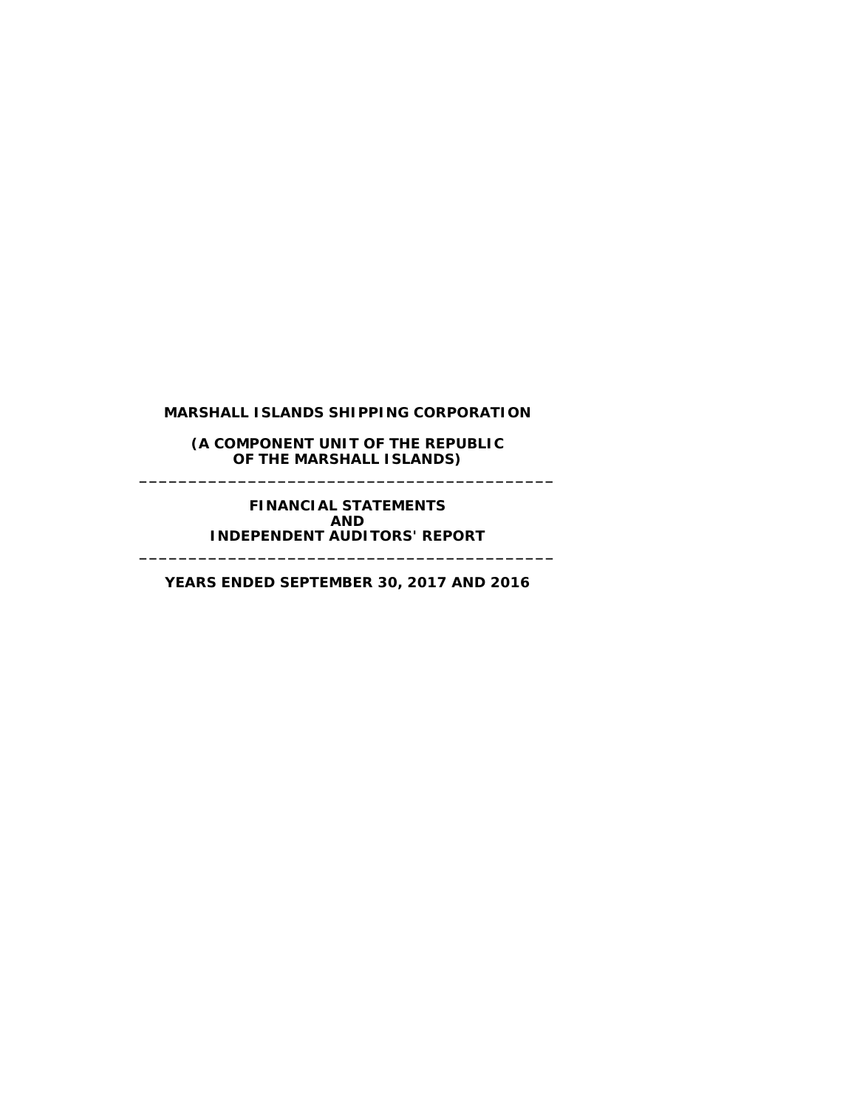#### **(A COMPONENT UNIT OF THE REPUBLIC OF THE MARSHALL ISLANDS) \_\_\_\_\_\_\_\_\_\_\_\_\_\_\_\_\_\_\_\_\_\_\_\_\_\_\_\_\_\_\_\_\_\_\_\_\_\_\_\_\_\_**

**FINANCIAL STATEMENTS AND INDEPENDENT AUDITORS' REPORT**

**YEARS ENDED SEPTEMBER 30, 2017 AND 2016**

**\_\_\_\_\_\_\_\_\_\_\_\_\_\_\_\_\_\_\_\_\_\_\_\_\_\_\_\_\_\_\_\_\_\_\_\_\_\_\_\_\_\_**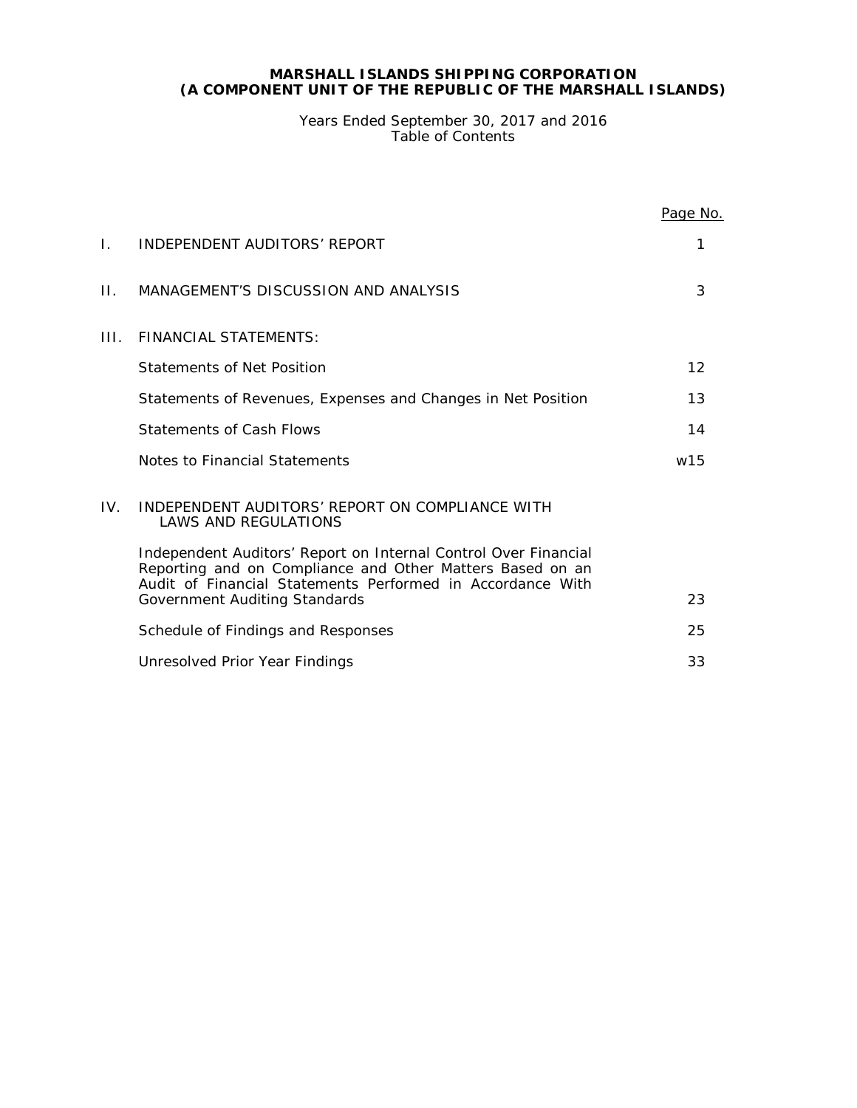# **MARSHALL ISLANDS SHIPPING CORPORATION (A COMPONENT UNIT OF THE REPUBLIC OF THE MARSHALL ISLANDS)**

Years Ended September 30, 2017 and 2016 Table of Contents

|      |                                                                                                                                                                                            | Page No.        |  |
|------|--------------------------------------------------------------------------------------------------------------------------------------------------------------------------------------------|-----------------|--|
| Ι.   | INDEPENDENT AUDITORS' REPORT                                                                                                                                                               | 1               |  |
| Н.   | MANAGEMENT'S DISCUSSION AND ANALYSIS                                                                                                                                                       | 3               |  |
| III. | <b>FINANCIAL STATEMENTS:</b>                                                                                                                                                               |                 |  |
|      | Statements of Net Position                                                                                                                                                                 | 12 <sup>°</sup> |  |
|      | Statements of Revenues, Expenses and Changes in Net Position                                                                                                                               | 13              |  |
|      | <b>Statements of Cash Flows</b>                                                                                                                                                            | 14              |  |
|      | Notes to Financial Statements                                                                                                                                                              | w15             |  |
| IV.  | INDEPENDENT AUDITORS' REPORT ON COMPLIANCE WITH<br><b>LAWS AND REGULATIONS</b>                                                                                                             |                 |  |
|      | Independent Auditors' Report on Internal Control Over Financial<br>Reporting and on Compliance and Other Matters Based on an<br>Audit of Financial Statements Performed in Accordance With |                 |  |
|      | Government Auditing Standards                                                                                                                                                              | 23              |  |
|      | Schedule of Findings and Responses                                                                                                                                                         | 25              |  |
|      | Unresolved Prior Year Findings                                                                                                                                                             | 33              |  |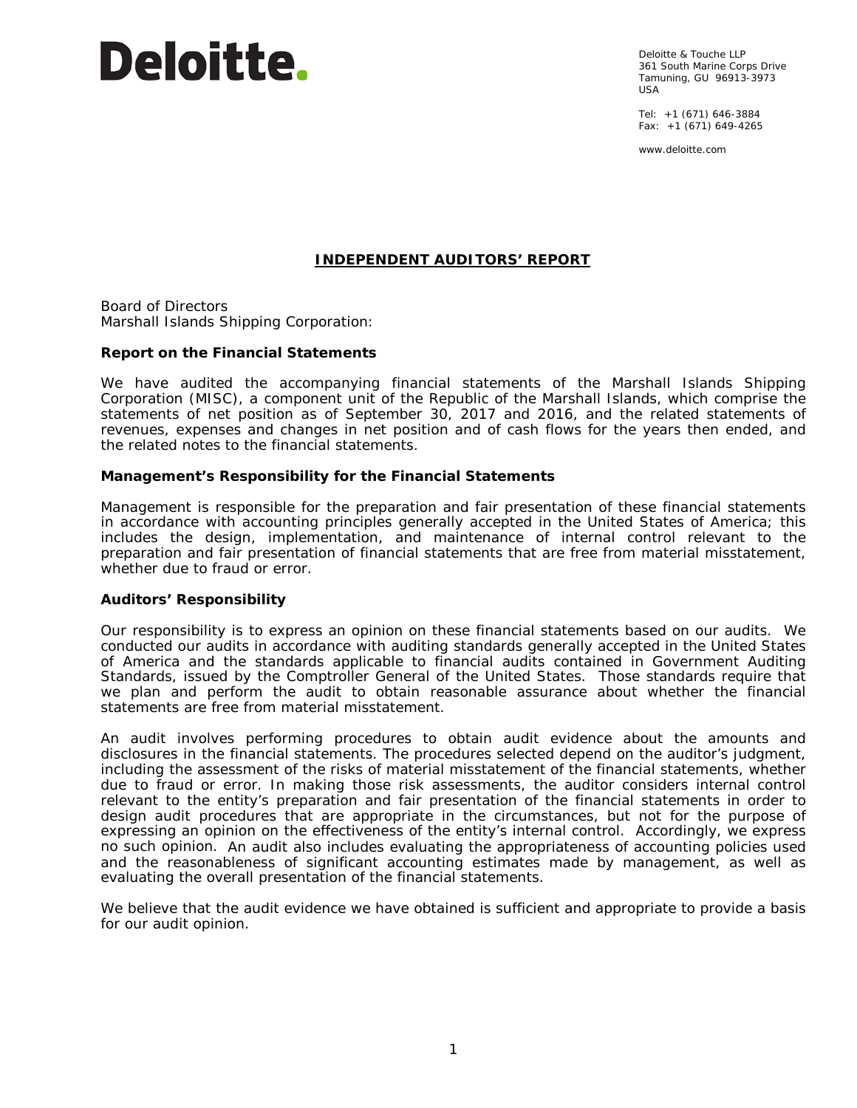# Deloitte.

Deloitte & Touche LLP 361 South Marine Corps Drive Tamuning, GU 96913-3973 USA

Tel: +1 (671) 646-3884 Fax:  $+1$  (671) 649-4265

www.deloitte.com

# **INDEPENDENT AUDITORS' REPORT**

Board of Directors Marshall Islands Shipping Corporation:

# **Report on the Financial Statements**

We have audited the accompanying financial statements of the Marshall Islands Shipping Corporation (MISC), a component unit of the Republic of the Marshall Islands, which comprise the statements of net position as of September 30, 2017 and 2016, and the related statements of revenues, expenses and changes in net position and of cash flows for the years then ended, and the related notes to the financial statements.

# *Management's Responsibility for the Financial Statements*

Management is responsible for the preparation and fair presentation of these financial statements in accordance with accounting principles generally accepted in the United States of America; this includes the design, implementation, and maintenance of internal control relevant to the preparation and fair presentation of financial statements that are free from material misstatement, whether due to fraud or error.

# *Auditors' Responsibility*

Our responsibility is to express an opinion on these financial statements based on our audits. We conducted our audits in accordance with auditing standards generally accepted in the United States of America and the standards applicable to financial audits contained in *Government Auditing Standards,* issued by the Comptroller General of the United States. Those standards require that we plan and perform the audit to obtain reasonable assurance about whether the financial statements are free from material misstatement.

An audit involves performing procedures to obtain audit evidence about the amounts and disclosures in the financial statements. The procedures selected depend on the auditor's judgment, including the assessment of the risks of material misstatement of the financial statements, whether due to fraud or error. In making those risk assessments, the auditor considers internal control relevant to the entity's preparation and fair presentation of the financial statements in order to design audit procedures that are appropriate in the circumstances, but not for the purpose of expressing an opinion on the effectiveness of the entity's internal control. Accordingly, we express no such opinion. An audit also includes evaluating the appropriateness of accounting policies used and the reasonableness of significant accounting estimates made by management, as well as evaluating the overall presentation of the financial statements.

We believe that the audit evidence we have obtained is sufficient and appropriate to provide a basis for our audit opinion.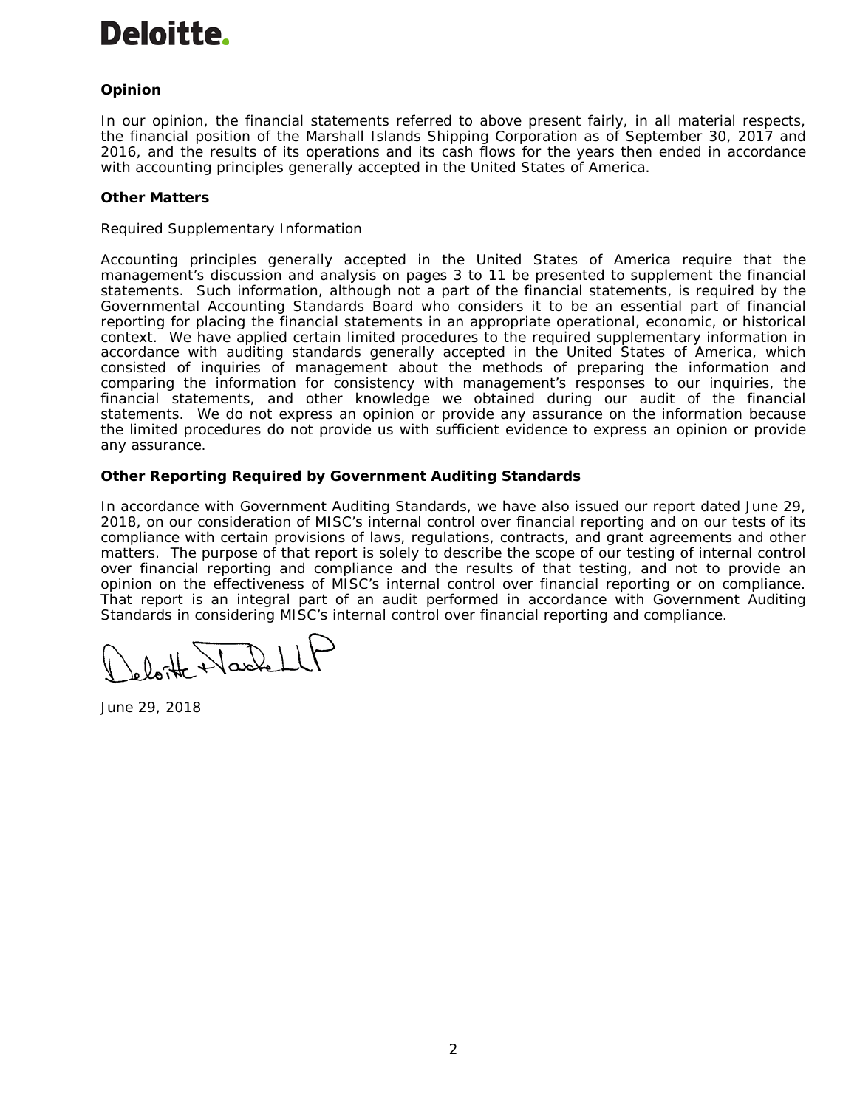

# *Opinion*

In our opinion, the financial statements referred to above present fairly, in all material respects, the financial position of the Marshall Islands Shipping Corporation as of September 30, 2017 and 2016, and the results of its operations and its cash flows for the years then ended in accordance with accounting principles generally accepted in the United States of America.

# *Other Matters*

## *Required Supplementary Information*

Accounting principles generally accepted in the United States of America require that the management's discussion and analysis on pages 3 to 11 be presented to supplement the financial statements. Such information, although not a part of the financial statements, is required by the Governmental Accounting Standards Board who considers it to be an essential part of financial reporting for placing the financial statements in an appropriate operational, economic, or historical context. We have applied certain limited procedures to the required supplementary information in accordance with auditing standards generally accepted in the United States of America, which consisted of inquiries of management about the methods of preparing the information and comparing the information for consistency with management's responses to our inquiries, the financial statements, and other knowledge we obtained during our audit of the financial statements. We do not express an opinion or provide any assurance on the information because the limited procedures do not provide us with sufficient evidence to express an opinion or provide any assurance.

## **Other Reporting Required by** *Government Auditing Standards*

In accordance with *Government Auditing Standards*, we have also issued our report dated June 29, 2018, on our consideration of MISC's internal control over financial reporting and on our tests of its compliance with certain provisions of laws, regulations, contracts, and grant agreements and other matters. The purpose of that report is solely to describe the scope of our testing of internal control over financial reporting and compliance and the results of that testing, and not to provide an opinion on the effectiveness of MISC's internal control over financial reporting or on compliance. That report is an integral part of an audit performed in accordance with *Government Auditing Standards* in considering MISC's internal control over financial reporting and compliance.

lotte Harlel

June 29, 2018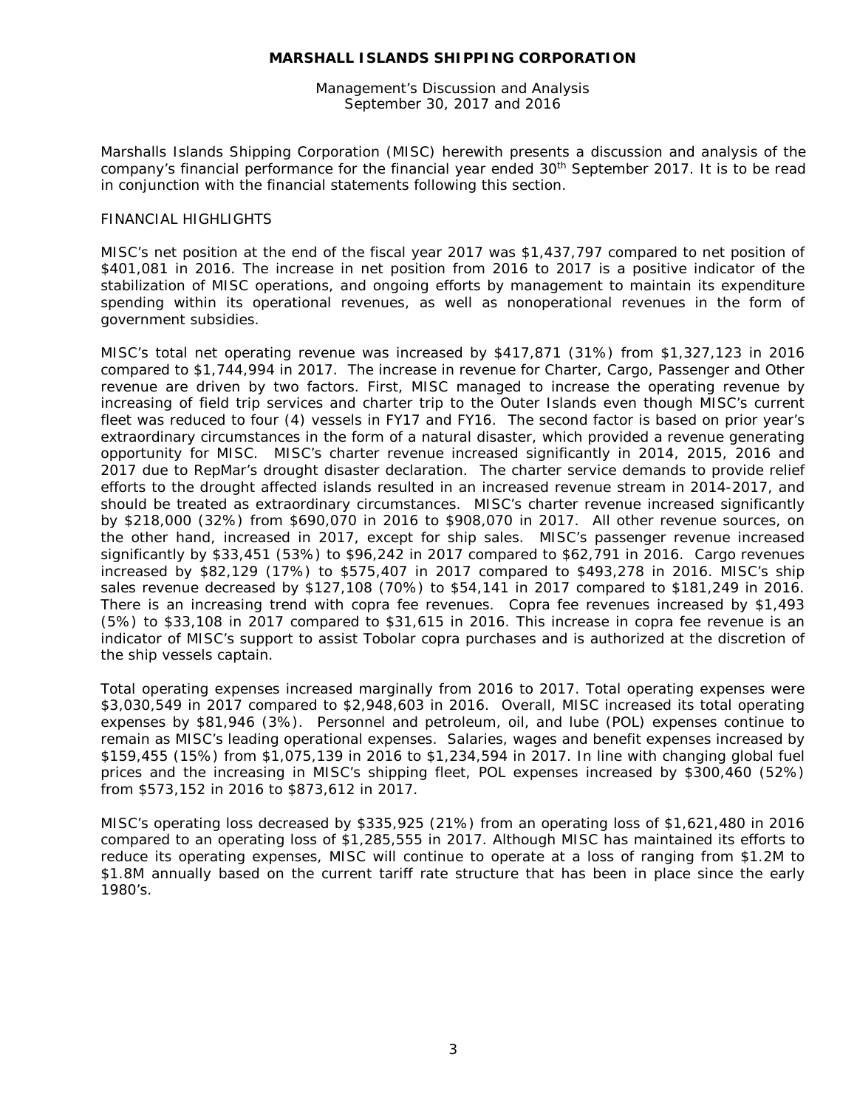Management's Discussion and Analysis September 30, 2017 and 2016

Marshalls Islands Shipping Corporation (MISC) herewith presents a discussion and analysis of the company's financial performance for the financial year ended 30<sup>th</sup> September 2017. It is to be read in conjunction with the financial statements following this section.

#### FINANCIAL HIGHLIGHTS

MISC's net position at the end of the fiscal year 2017 was \$1,437,797 compared to net position of \$401,081 in 2016. The increase in net position from 2016 to 2017 is a positive indicator of the stabilization of MISC operations, and ongoing efforts by management to maintain its expenditure spending within its operational revenues, as well as nonoperational revenues in the form of government subsidies.

MISC's total net operating revenue was increased by \$417,871 (31%) from \$1,327,123 in 2016 compared to \$1,744,994 in 2017. The increase in revenue for Charter, Cargo, Passenger and Other revenue are driven by two factors. First, MISC managed to increase the operating revenue by increasing of field trip services and charter trip to the Outer Islands even though MISC's current fleet was reduced to four (4) vessels in FY17 and FY16. The second factor is based on prior year's extraordinary circumstances in the form of a natural disaster, which provided a revenue generating opportunity for MISC. MISC's charter revenue increased significantly in 2014, 2015, 2016 and 2017 due to RepMar's drought disaster declaration. The charter service demands to provide relief efforts to the drought affected islands resulted in an increased revenue stream in 2014-2017, and should be treated as extraordinary circumstances. MISC's charter revenue increased significantly by \$218,000 (32%) from \$690,070 in 2016 to \$908,070 in 2017. All other revenue sources, on the other hand, increased in 2017, except for ship sales. MISC's passenger revenue increased significantly by \$33,451 (53%) to \$96,242 in 2017 compared to \$62,791 in 2016. Cargo revenues increased by \$82,129 (17%) to \$575,407 in 2017 compared to \$493,278 in 2016. MISC's ship sales revenue decreased by \$127,108 (70%) to \$54,141 in 2017 compared to \$181,249 in 2016. There is an increasing trend with copra fee revenues. Copra fee revenues increased by \$1,493 (5%) to \$33,108 in 2017 compared to \$31,615 in 2016. This increase in copra fee revenue is an indicator of MISC's support to assist Tobolar copra purchases and is authorized at the discretion of the ship vessels captain.

Total operating expenses increased marginally from 2016 to 2017. Total operating expenses were \$3,030,549 in 2017 compared to \$2,948,603 in 2016. Overall, MISC increased its total operating expenses by \$81,946 (3%). Personnel and petroleum, oil, and lube (POL) expenses continue to remain as MISC's leading operational expenses. Salaries, wages and benefit expenses increased by \$159,455 (15%) from \$1,075,139 in 2016 to \$1,234,594 in 2017. In line with changing global fuel prices and the increasing in MISC's shipping fleet, POL expenses increased by \$300,460 (52%) from \$573,152 in 2016 to \$873,612 in 2017.

MISC's operating loss decreased by \$335,925 (21%) from an operating loss of \$1,621,480 in 2016 compared to an operating loss of \$1,285,555 in 2017. Although MISC has maintained its efforts to reduce its operating expenses, MISC will continue to operate at a loss of ranging from \$1.2M to \$1.8M annually based on the current tariff rate structure that has been in place since the early 1980's.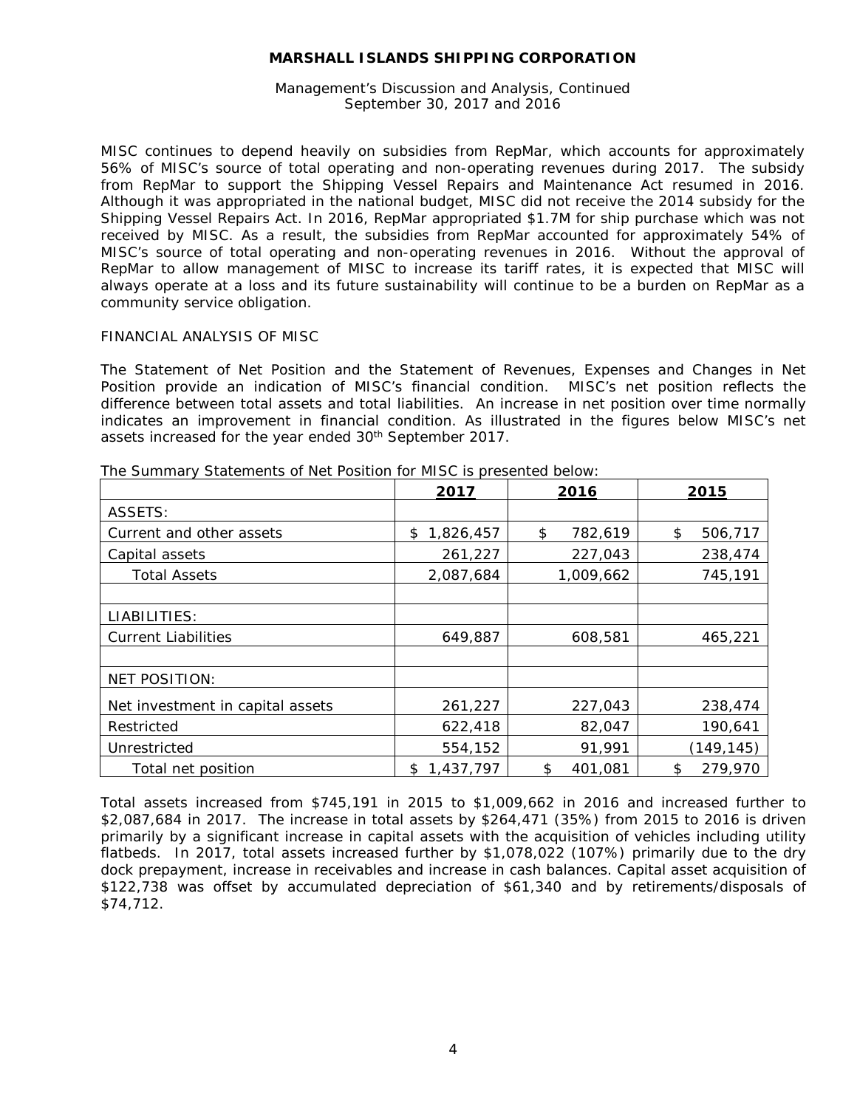Management's Discussion and Analysis, Continued September 30, 2017 and 2016

MISC continues to depend heavily on subsidies from RepMar, which accounts for approximately 56% of MISC's source of total operating and non-operating revenues during 2017. The subsidy from RepMar to support the Shipping Vessel Repairs and Maintenance Act resumed in 2016. Although it was appropriated in the national budget, MISC did not receive the 2014 subsidy for the Shipping Vessel Repairs Act. In 2016, RepMar appropriated \$1.7M for ship purchase which was not received by MISC. As a result, the subsidies from RepMar accounted for approximately 54% of MISC's source of total operating and non-operating revenues in 2016. Without the approval of RepMar to allow management of MISC to increase its tariff rates, it is expected that MISC will always operate at a loss and its future sustainability will continue to be a burden on RepMar as a community service obligation.

## FINANCIAL ANALYSIS OF MISC

The Statement of Net Position and the Statement of Revenues, Expenses and Changes in Net Position provide an indication of MISC's financial condition. MISC's net position reflects the difference between total assets and total liabilities. An increase in net position over time normally indicates an improvement in financial condition. As illustrated in the figures below MISC's net assets increased for the year ended 30<sup>th</sup> September 2017.

|                                  | 2017            | 2016          | 2015          |
|----------------------------------|-----------------|---------------|---------------|
| ASSETS:                          |                 |               |               |
| Current and other assets         | 1,826,457<br>\$ | 782,619<br>\$ | 506,717<br>\$ |
| Capital assets                   | 261,227         | 227,043       | 238,474       |
| <b>Total Assets</b>              | 2,087,684       | 1,009,662     | 745,191       |
|                                  |                 |               |               |
| LIABILITIES:                     |                 |               |               |
| <b>Current Liabilities</b>       | 649,887         | 608,581       | 465,221       |
|                                  |                 |               |               |
| <b>NET POSITION:</b>             |                 |               |               |
| Net investment in capital assets | 261,227         | 227,043       | 238,474       |
| Restricted                       | 622,418         | 82,047        | 190,641       |
| Unrestricted                     | 554,152         | 91,991        | (149, 145)    |
| Total net position               | 1,437,797<br>\$ | 401,081<br>\$ | 279,970<br>\$ |

The Summary Statements of Net Position for MISC is presented below:

Total assets increased from \$745,191 in 2015 to \$1,009,662 in 2016 and increased further to \$2,087,684 in 2017. The increase in total assets by \$264,471 (35%) from 2015 to 2016 is driven primarily by a significant increase in capital assets with the acquisition of vehicles including utility flatbeds. In 2017, total assets increased further by \$1,078,022 (107%) primarily due to the dry dock prepayment, increase in receivables and increase in cash balances. Capital asset acquisition of \$122,738 was offset by accumulated depreciation of \$61,340 and by retirements/disposals of \$74,712.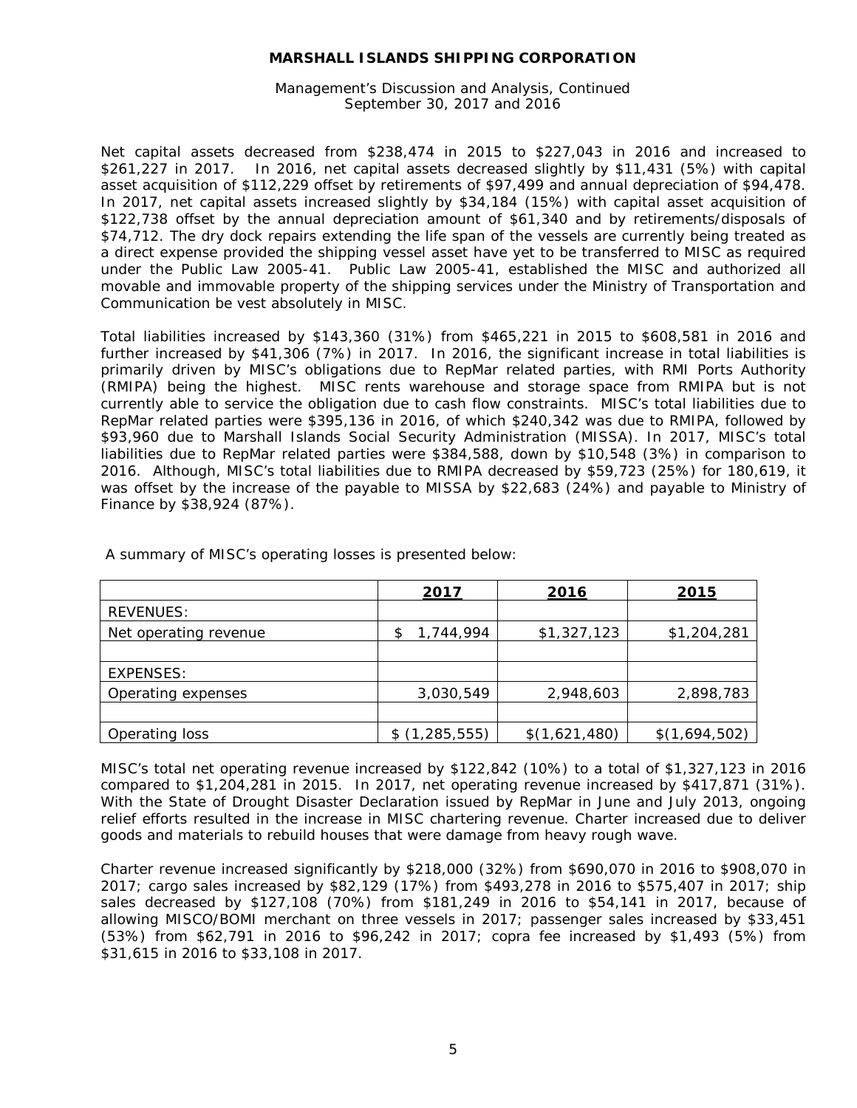Management's Discussion and Analysis, Continued September 30, 2017 and 2016

Net capital assets decreased from \$238,474 in 2015 to \$227,043 in 2016 and increased to \$261,227 in 2017. In 2016, net capital assets decreased slightly by \$11,431 (5%) with capital asset acquisition of \$112,229 offset by retirements of \$97,499 and annual depreciation of \$94,478. In 2017, net capital assets increased slightly by \$34,184 (15%) with capital asset acquisition of \$122,738 offset by the annual depreciation amount of \$61,340 and by retirements/disposals of \$74,712. The dry dock repairs extending the life span of the vessels are currently being treated as a direct expense provided the shipping vessel asset have yet to be transferred to MISC as required under the Public Law 2005-41. Public Law 2005-41, established the MISC and authorized all movable and immovable property of the shipping services under the Ministry of Transportation and Communication be vest absolutely in MISC.

Total liabilities increased by \$143,360 (31%) from \$465,221 in 2015 to \$608,581 in 2016 and further increased by \$41,306 (7%) in 2017. In 2016, the significant increase in total liabilities is primarily driven by MISC's obligations due to RepMar related parties, with RMI Ports Authority (RMIPA) being the highest. MISC rents warehouse and storage space from RMIPA but is not currently able to service the obligation due to cash flow constraints. MISC's total liabilities due to RepMar related parties were \$395,136 in 2016, of which \$240,342 was due to RMIPA, followed by \$93,960 due to Marshall Islands Social Security Administration (MISSA). In 2017, MISC's total liabilities due to RepMar related parties were \$384,588, down by \$10,548 (3%) in comparison to 2016. Although, MISC's total liabilities due to RMIPA decreased by \$59,723 (25%) for 180,619, it was offset by the increase of the payable to MISSA by \$22,683 (24%) and payable to Ministry of Finance by \$38,924 (87%).

|                       | 2017            | 2016          | 2015          |
|-----------------------|-----------------|---------------|---------------|
| REVENUES:             |                 |               |               |
| Net operating revenue | 1,744,994<br>\$ | \$1,327,123   | \$1,204,281   |
|                       |                 |               |               |
| EXPENSES:             |                 |               |               |
| Operating expenses    | 3,030,549       | 2,948,603     | 2,898,783     |
|                       |                 |               |               |
| Operating loss        | \$(1,285,555)   | \$(1,621,480) | \$(1,694,502) |

A summary of MISC's operating losses is presented below:

MISC's total net operating revenue increased by \$122,842 (10%) to a total of \$1,327,123 in 2016 compared to \$1,204,281 in 2015. In 2017, net operating revenue increased by \$417,871 (31%). With the State of Drought Disaster Declaration issued by RepMar in June and July 2013, ongoing relief efforts resulted in the increase in MISC chartering revenue. Charter increased due to deliver goods and materials to rebuild houses that were damage from heavy rough wave.

Charter revenue increased significantly by \$218,000 (32%) from \$690,070 in 2016 to \$908,070 in 2017; cargo sales increased by \$82,129 (17%) from \$493,278 in 2016 to \$575,407 in 2017; ship sales decreased by \$127,108 (70%) from \$181,249 in 2016 to \$54,141 in 2017, because of allowing MISCO/BOMI merchant on three vessels in 2017; passenger sales increased by \$33,451 (53%) from \$62,791 in 2016 to \$96,242 in 2017; copra fee increased by \$1,493 (5%) from \$31,615 in 2016 to \$33,108 in 2017.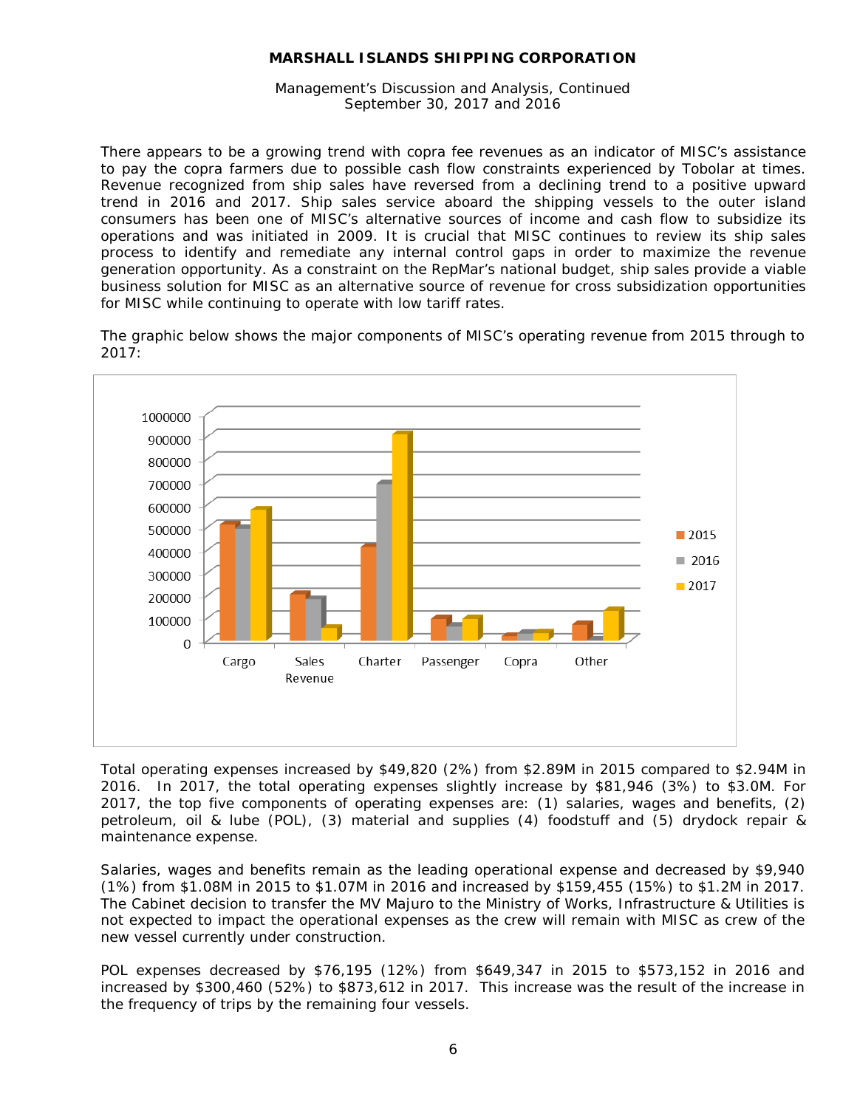Management's Discussion and Analysis, Continued September 30, 2017 and 2016

There appears to be a growing trend with copra fee revenues as an indicator of MISC's assistance to pay the copra farmers due to possible cash flow constraints experienced by Tobolar at times. Revenue recognized from ship sales have reversed from a declining trend to a positive upward trend in 2016 and 2017. Ship sales service aboard the shipping vessels to the outer island consumers has been one of MISC's alternative sources of income and cash flow to subsidize its operations and was initiated in 2009. It is crucial that MISC continues to review its ship sales process to identify and remediate any internal control gaps in order to maximize the revenue generation opportunity. As a constraint on the RepMar's national budget, ship sales provide a viable business solution for MISC as an alternative source of revenue for cross subsidization opportunities for MISC while continuing to operate with low tariff rates.

The graphic below shows the major components of MISC's operating revenue from 2015 through to 2017:



Total operating expenses increased by \$49,820 (2%) from \$2.89M in 2015 compared to \$2.94M in 2016. In 2017, the total operating expenses slightly increase by \$81,946 (3%) to \$3.0M. For 2017, the top five components of operating expenses are: (1) salaries, wages and benefits, (2) petroleum, oil & lube (POL), (3) material and supplies (4) foodstuff and (5) drydock repair & maintenance expense.

Salaries, wages and benefits remain as the leading operational expense and decreased by \$9,940 (1%) from \$1.08M in 2015 to \$1.07M in 2016 and increased by \$159,455 (15%) to \$1.2M in 2017. The Cabinet decision to transfer the MV Majuro to the Ministry of Works, Infrastructure & Utilities is not expected to impact the operational expenses as the crew will remain with MISC as crew of the new vessel currently under construction.

POL expenses decreased by \$76,195 (12%) from \$649,347 in 2015 to \$573,152 in 2016 and increased by \$300,460 (52%) to \$873,612 in 2017. This increase was the result of the increase in the frequency of trips by the remaining four vessels.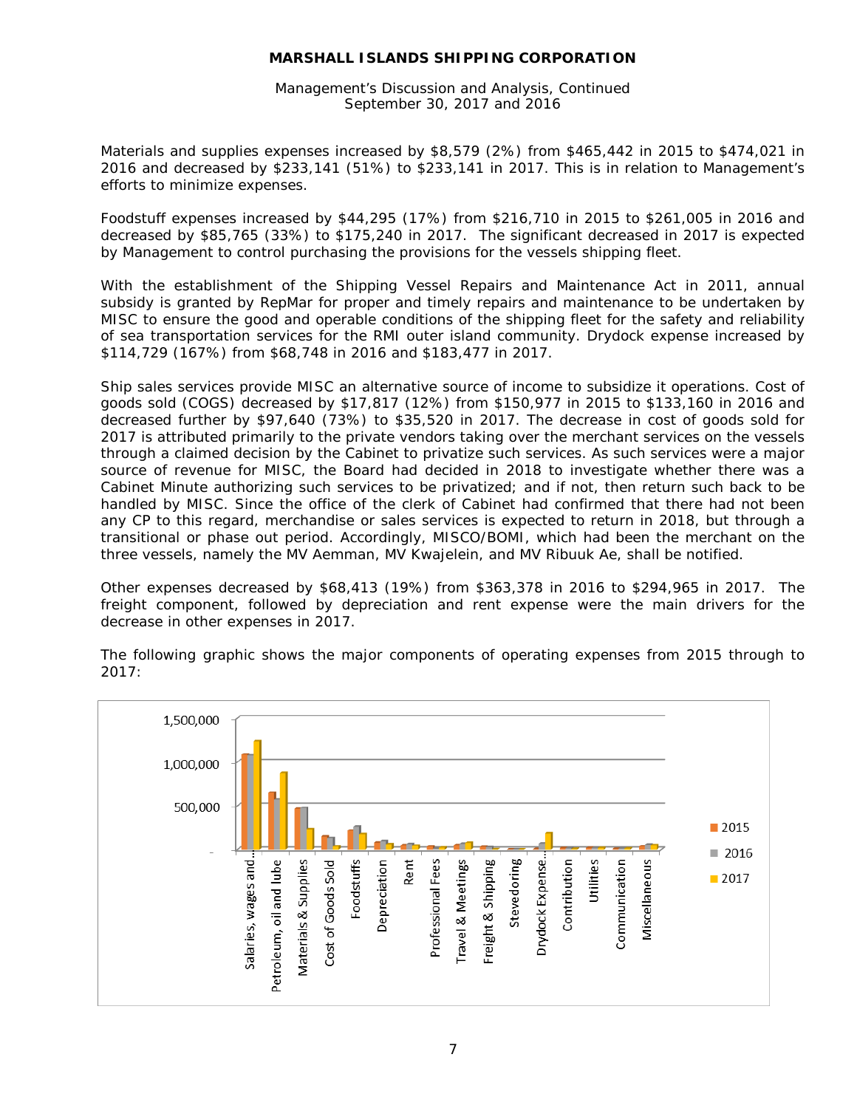Management's Discussion and Analysis, Continued September 30, 2017 and 2016

Materials and supplies expenses increased by \$8,579 (2%) from \$465,442 in 2015 to \$474,021 in 2016 and decreased by \$233,141 (51%) to \$233,141 in 2017. This is in relation to Management's efforts to minimize expenses.

Foodstuff expenses increased by \$44,295 (17%) from \$216,710 in 2015 to \$261,005 in 2016 and decreased by \$85,765 (33%) to \$175,240 in 2017. The significant decreased in 2017 is expected by Management to control purchasing the provisions for the vessels shipping fleet.

With the establishment of the Shipping Vessel Repairs and Maintenance Act in 2011, annual subsidy is granted by RepMar for proper and timely repairs and maintenance to be undertaken by MISC to ensure the good and operable conditions of the shipping fleet for the safety and reliability of sea transportation services for the RMI outer island community. Drydock expense increased by \$114,729 (167%) from \$68,748 in 2016 and \$183,477 in 2017.

Ship sales services provide MISC an alternative source of income to subsidize it operations. Cost of goods sold (COGS) decreased by \$17,817 (12%) from \$150,977 in 2015 to \$133,160 in 2016 and decreased further by \$97,640 (73%) to \$35,520 in 2017. The decrease in cost of goods sold for 2017 is attributed primarily to the private vendors taking over the merchant services on the vessels through a claimed decision by the Cabinet to privatize such services. As such services were a major source of revenue for MISC, the Board had decided in 2018 to investigate whether there was a Cabinet Minute authorizing such services to be privatized; and if not, then return such back to be handled by MISC. Since the office of the clerk of Cabinet had confirmed that there had not been any CP to this regard, merchandise or sales services is expected to return in 2018, but through a transitional or phase out period. Accordingly, MISCO/BOMI, which had been the merchant on the three vessels, namely the MV Aemman, MV Kwajelein, and MV Ribuuk Ae, shall be notified.

Other expenses decreased by \$68,413 (19%) from \$363,378 in 2016 to \$294,965 in 2017. The freight component, followed by depreciation and rent expense were the main drivers for the decrease in other expenses in 2017.



The following graphic shows the major components of operating expenses from 2015 through to 2017: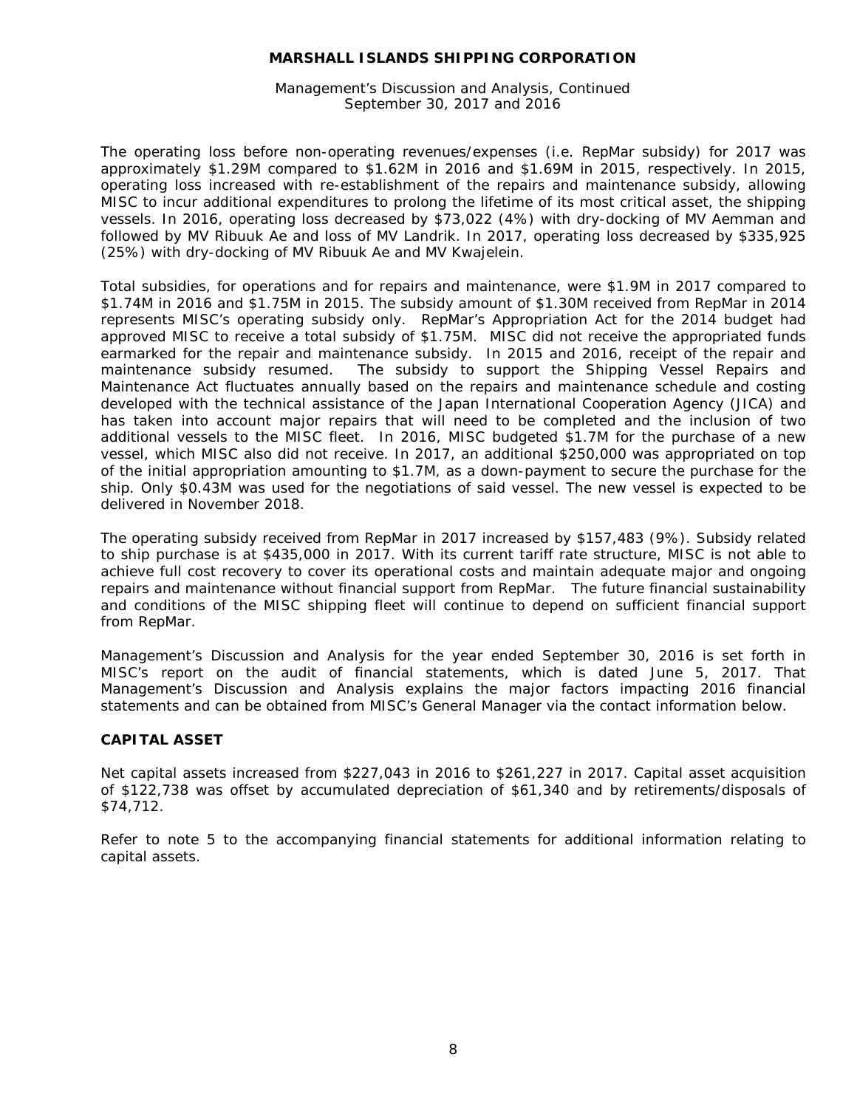Management's Discussion and Analysis, Continued September 30, 2017 and 2016

The operating loss before non-operating revenues/expenses (i.e. RepMar subsidy) for 2017 was approximately \$1.29M compared to \$1.62M in 2016 and \$1.69M in 2015, respectively. In 2015, operating loss increased with re-establishment of the repairs and maintenance subsidy, allowing MISC to incur additional expenditures to prolong the lifetime of its most critical asset, the shipping vessels. In 2016, operating loss decreased by \$73,022 (4%) with dry-docking of MV Aemman and followed by MV Ribuuk Ae and loss of MV Landrik. In 2017, operating loss decreased by \$335,925 (25%) with dry-docking of MV Ribuuk Ae and MV Kwajelein.

Total subsidies, for operations and for repairs and maintenance, were \$1.9M in 2017 compared to \$1.74M in 2016 and \$1.75M in 2015. The subsidy amount of \$1.30M received from RepMar in 2014 represents MISC's operating subsidy only. RepMar's Appropriation Act for the 2014 budget had approved MISC to receive a total subsidy of \$1.75M. MISC did not receive the appropriated funds earmarked for the repair and maintenance subsidy. In 2015 and 2016, receipt of the repair and maintenance subsidy resumed. The subsidy to support the Shipping Vessel Repairs and Maintenance Act fluctuates annually based on the repairs and maintenance schedule and costing developed with the technical assistance of the Japan International Cooperation Agency (JICA) and has taken into account major repairs that will need to be completed and the inclusion of two additional vessels to the MISC fleet. In 2016, MISC budgeted \$1.7M for the purchase of a new vessel, which MISC also did not receive. In 2017, an additional \$250,000 was appropriated on top of the initial appropriation amounting to \$1.7M, as a down-payment to secure the purchase for the ship. Only \$0.43M was used for the negotiations of said vessel. The new vessel is expected to be delivered in November 2018.

The operating subsidy received from RepMar in 2017 increased by \$157,483 (9%). Subsidy related to ship purchase is at \$435,000 in 2017. With its current tariff rate structure, MISC is not able to achieve full cost recovery to cover its operational costs and maintain adequate major and ongoing repairs and maintenance without financial support from RepMar. The future financial sustainability and conditions of the MISC shipping fleet will continue to depend on sufficient financial support from RepMar.

Management's Discussion and Analysis for the year ended September 30, 2016 is set forth in MISC's report on the audit of financial statements, which is dated June 5, 2017. That Management's Discussion and Analysis explains the major factors impacting 2016 financial statements and can be obtained from MISC's General Manager via the contact information below.

# **CAPITAL ASSET**

Net capital assets increased from \$227,043 in 2016 to \$261,227 in 2017. Capital asset acquisition of \$122,738 was offset by accumulated depreciation of \$61,340 and by retirements/disposals of \$74,712.

Refer to note 5 to the accompanying financial statements for additional information relating to capital assets.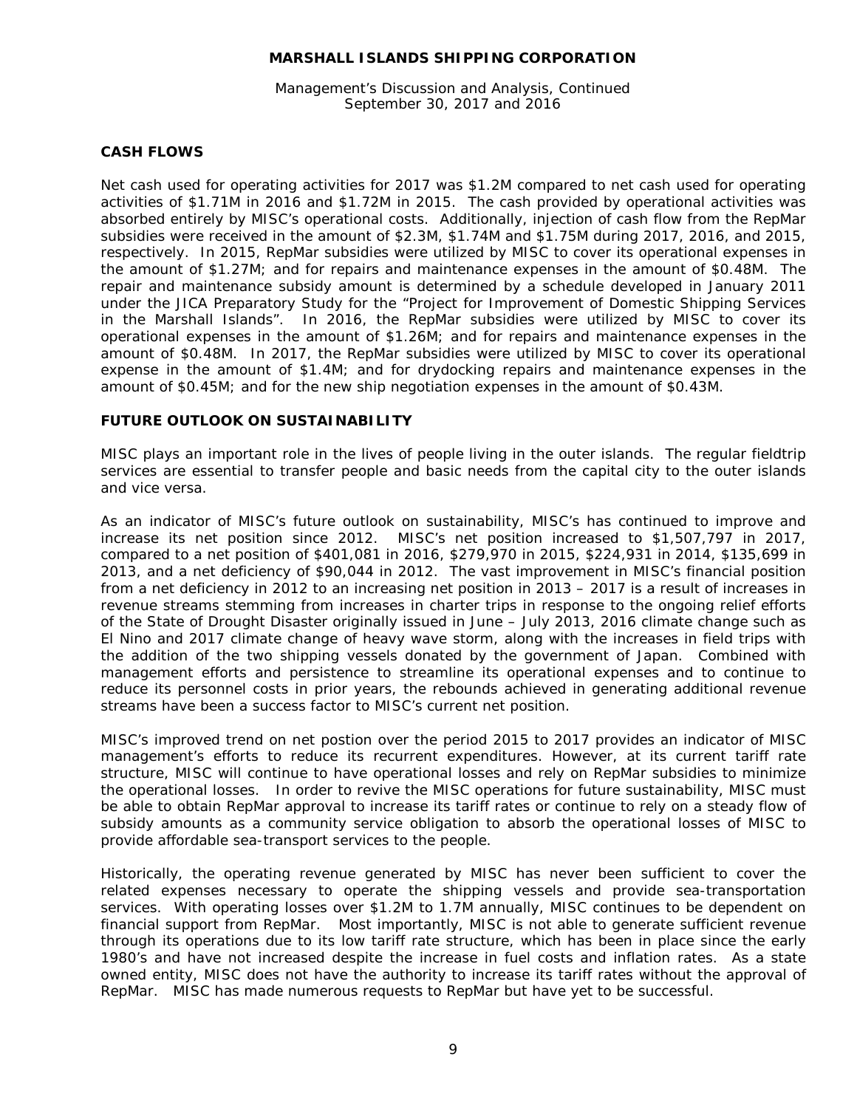Management's Discussion and Analysis, Continued September 30, 2017 and 2016

# **CASH FLOWS**

Net cash used for operating activities for 2017 was \$1.2M compared to net cash used for operating activities of \$1.71M in 2016 and \$1.72M in 2015. The cash provided by operational activities was absorbed entirely by MISC's operational costs. Additionally, injection of cash flow from the RepMar subsidies were received in the amount of \$2.3M, \$1.74M and \$1.75M during 2017, 2016, and 2015, respectively. In 2015, RepMar subsidies were utilized by MISC to cover its operational expenses in the amount of \$1.27M; and for repairs and maintenance expenses in the amount of \$0.48M. The repair and maintenance subsidy amount is determined by a schedule developed in January 2011 under the JICA Preparatory Study for the "Project for Improvement of Domestic Shipping Services in the Marshall Islands". In 2016, the RepMar subsidies were utilized by MISC to cover its operational expenses in the amount of \$1.26M; and for repairs and maintenance expenses in the amount of \$0.48M. In 2017, the RepMar subsidies were utilized by MISC to cover its operational expense in the amount of \$1.4M; and for drydocking repairs and maintenance expenses in the amount of \$0.45M; and for the new ship negotiation expenses in the amount of \$0.43M.

## **FUTURE OUTLOOK ON SUSTAINABILITY**

MISC plays an important role in the lives of people living in the outer islands. The regular fieldtrip services are essential to transfer people and basic needs from the capital city to the outer islands and vice versa.

As an indicator of MISC's future outlook on sustainability, MISC's has continued to improve and increase its net position since 2012. MISC's net position increased to \$1,507,797 in 2017, compared to a net position of \$401,081 in 2016, \$279,970 in 2015, \$224,931 in 2014, \$135,699 in 2013, and a net deficiency of \$90,044 in 2012. The vast improvement in MISC's financial position from a net deficiency in 2012 to an increasing net position in 2013 – 2017 is a result of increases in revenue streams stemming from increases in charter trips in response to the ongoing relief efforts of the State of Drought Disaster originally issued in June – July 2013, 2016 climate change such as El Nino and 2017 climate change of heavy wave storm, along with the increases in field trips with the addition of the two shipping vessels donated by the government of Japan. Combined with management efforts and persistence to streamline its operational expenses and to continue to reduce its personnel costs in prior years, the rebounds achieved in generating additional revenue streams have been a success factor to MISC's current net position.

MISC's improved trend on net postion over the period 2015 to 2017 provides an indicator of MISC management's efforts to reduce its recurrent expenditures. However, at its current tariff rate structure, MISC will continue to have operational losses and rely on RepMar subsidies to minimize the operational losses. In order to revive the MISC operations for future sustainability, MISC must be able to obtain RepMar approval to increase its tariff rates or continue to rely on a steady flow of subsidy amounts as a community service obligation to absorb the operational losses of MISC to provide affordable sea-transport services to the people.

Historically, the operating revenue generated by MISC has never been sufficient to cover the related expenses necessary to operate the shipping vessels and provide sea-transportation services. With operating losses over \$1.2M to 1.7M annually, MISC continues to be dependent on financial support from RepMar. Most importantly, MISC is not able to generate sufficient revenue through its operations due to its low tariff rate structure, which has been in place since the early 1980's and have not increased despite the increase in fuel costs and inflation rates. As a state owned entity, MISC does not have the authority to increase its tariff rates without the approval of RepMar. MISC has made numerous requests to RepMar but have yet to be successful.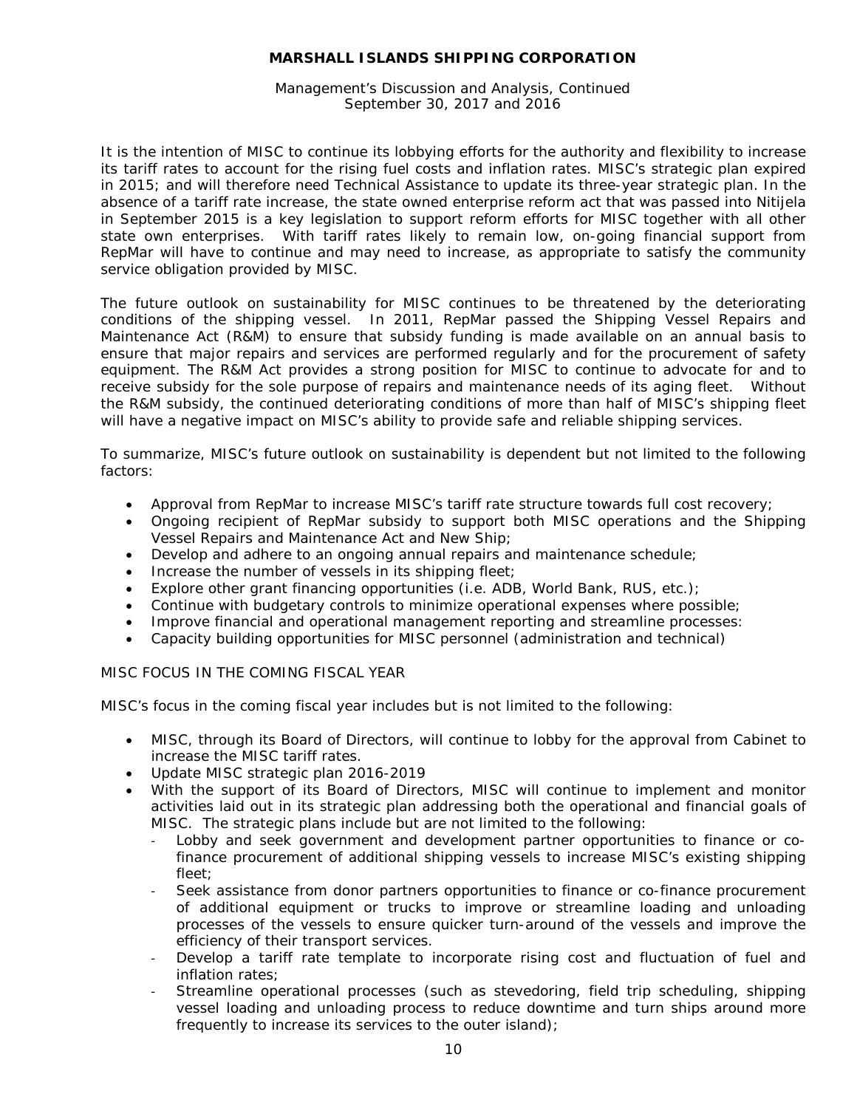Management's Discussion and Analysis, Continued September 30, 2017 and 2016

It is the intention of MISC to continue its lobbying efforts for the authority and flexibility to increase its tariff rates to account for the rising fuel costs and inflation rates. MISC's strategic plan expired in 2015; and will therefore need Technical Assistance to update its three-year strategic plan. In the absence of a tariff rate increase, the state owned enterprise reform act that was passed into Nitijela in September 2015 is a key legislation to support reform efforts for MISC together with all other state own enterprises. With tariff rates likely to remain low, on-going financial support from RepMar will have to continue and may need to increase, as appropriate to satisfy the community service obligation provided by MISC.

The future outlook on sustainability for MISC continues to be threatened by the deteriorating conditions of the shipping vessel. In 2011, RepMar passed the Shipping Vessel Repairs and Maintenance Act (R&M) to ensure that subsidy funding is made available on an annual basis to ensure that major repairs and services are performed regularly and for the procurement of safety equipment. The R&M Act provides a strong position for MISC to continue to advocate for and to receive subsidy for the sole purpose of repairs and maintenance needs of its aging fleet. Without the R&M subsidy, the continued deteriorating conditions of more than half of MISC's shipping fleet will have a negative impact on MISC's ability to provide safe and reliable shipping services.

To summarize, MISC's future outlook on sustainability is dependent but not limited to the following factors:

- Approval from RepMar to increase MISC's tariff rate structure towards full cost recovery;
- Ongoing recipient of RepMar subsidy to support both MISC operations and the Shipping Vessel Repairs and Maintenance Act and New Ship;
- Develop and adhere to an ongoing annual repairs and maintenance schedule;
- Increase the number of vessels in its shipping fleet;
- Explore other grant financing opportunities (i.e. ADB, World Bank, RUS, etc.);
- Continue with budgetary controls to minimize operational expenses where possible;
- Improve financial and operational management reporting and streamline processes:
- Capacity building opportunities for MISC personnel (administration and technical)

## MISC FOCUS IN THE COMING FISCAL YEAR

MISC's focus in the coming fiscal year includes but is not limited to the following:

- MISC, through its Board of Directors, will continue to lobby for the approval from Cabinet to increase the MISC tariff rates.
- Update MISC strategic plan 2016-2019
- With the support of its Board of Directors, MISC will continue to implement and monitor activities laid out in its strategic plan addressing both the operational and financial goals of MISC. The strategic plans include but are not limited to the following:
	- Lobby and seek government and development partner opportunities to finance or cofinance procurement of additional shipping vessels to increase MISC's existing shipping fleet;
	- Seek assistance from donor partners opportunities to finance or co-finance procurement of additional equipment or trucks to improve or streamline loading and unloading processes of the vessels to ensure quicker turn-around of the vessels and improve the efficiency of their transport services.
	- Develop a tariff rate template to incorporate rising cost and fluctuation of fuel and inflation rates;
	- Streamline operational processes (such as stevedoring, field trip scheduling, shipping vessel loading and unloading process to reduce downtime and turn ships around more frequently to increase its services to the outer island);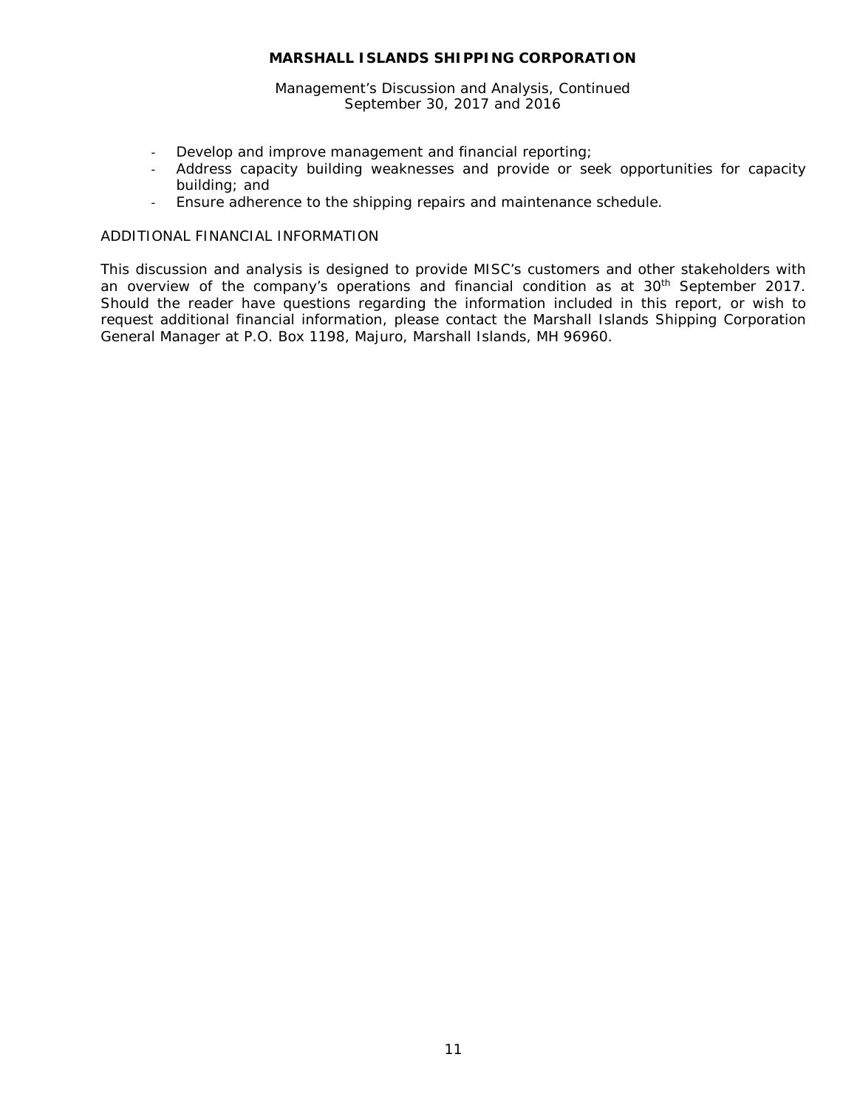Management's Discussion and Analysis, Continued September 30, 2017 and 2016

- Develop and improve management and financial reporting;
- Address capacity building weaknesses and provide or seek opportunities for capacity building; and
- Ensure adherence to the shipping repairs and maintenance schedule.

## ADDITIONAL FINANCIAL INFORMATION

This discussion and analysis is designed to provide MISC's customers and other stakeholders with an overview of the company's operations and financial condition as at 30<sup>th</sup> September 2017. Should the reader have questions regarding the information included in this report, or wish to request additional financial information, please contact the Marshall Islands Shipping Corporation General Manager at P.O. Box 1198, Majuro, Marshall Islands, MH 96960.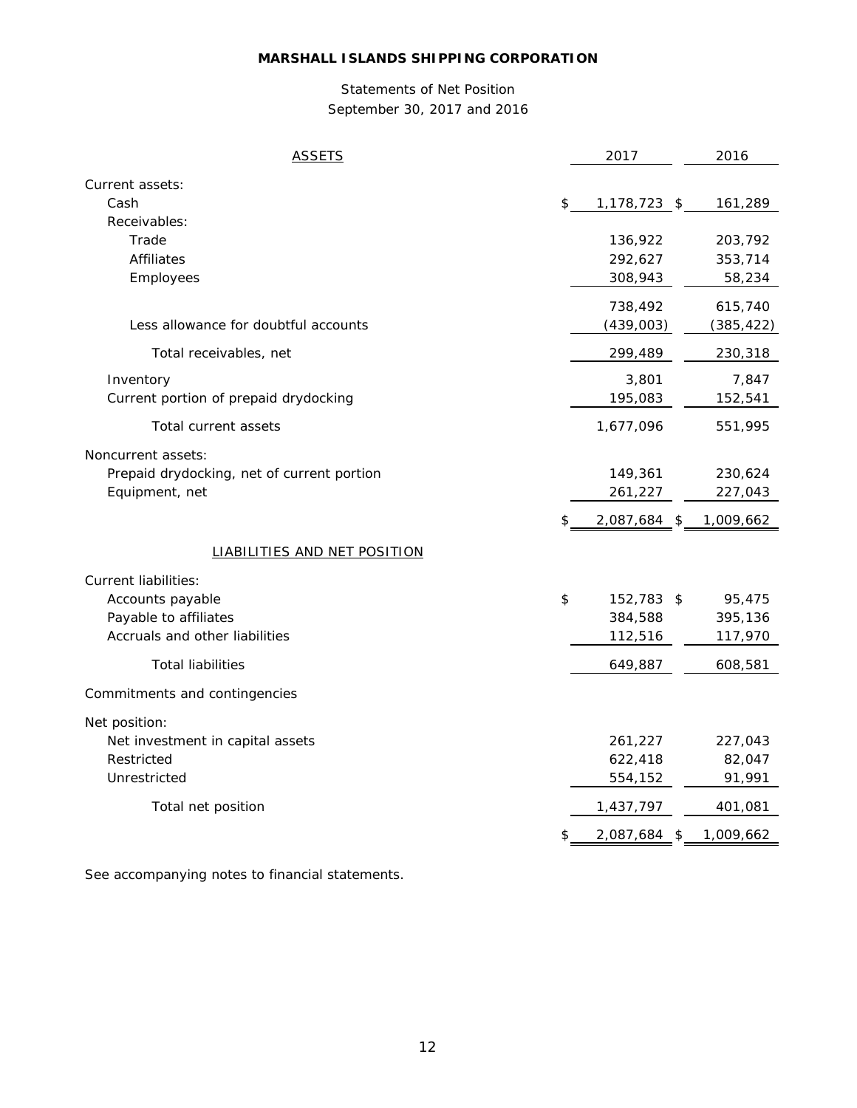# Statements of Net Position September 30, 2017 and 2016

| Current assets:<br>Cash<br>\$<br>1,178,723 \$<br>161,289<br>Receivables:<br>Trade<br>136,922<br>203,792<br>292,627<br><b>Affiliates</b><br>353,714<br>Employees<br>308,943<br>58,234<br>738,492<br>615,740<br>Less allowance for doubtful accounts<br>(385, 422)<br>(439,003)<br>Total receivables, net<br>299,489<br>230,318<br>Inventory<br>3,801<br>7,847<br>Current portion of prepaid drydocking<br>195,083<br>152,541<br>Total current assets<br>1,677,096<br>551,995<br>Noncurrent assets:<br>Prepaid drydocking, net of current portion<br>149,361<br>230,624<br>Equipment, net<br>227,043<br>261,227<br>2,087,684 \$<br>1,009,662<br>S.<br><b>LIABILITIES AND NET POSITION</b><br><b>Current liabilities:</b><br>\$<br>Accounts payable<br>152,783 \$<br>95,475<br>Payable to affiliates<br>384,588<br>395,136<br>Accruals and other liabilities<br>112,516<br>117,970<br><b>Total liabilities</b><br>649,887<br>608,581<br>Commitments and contingencies<br>Net position:<br>Net investment in capital assets<br>261,227<br>227,043<br>Restricted<br>622,418<br>82,047<br>Unrestricted<br>554,152<br>91,991<br>Total net position<br>1,437,797<br>401,081<br>1,009,662<br>\$<br>2,087,684 \$ | <b>ASSETS</b> | 2017 | 2016 |
|--------------------------------------------------------------------------------------------------------------------------------------------------------------------------------------------------------------------------------------------------------------------------------------------------------------------------------------------------------------------------------------------------------------------------------------------------------------------------------------------------------------------------------------------------------------------------------------------------------------------------------------------------------------------------------------------------------------------------------------------------------------------------------------------------------------------------------------------------------------------------------------------------------------------------------------------------------------------------------------------------------------------------------------------------------------------------------------------------------------------------------------------------------------------------------------------------------|---------------|------|------|
|                                                                                                                                                                                                                                                                                                                                                                                                                                                                                                                                                                                                                                                                                                                                                                                                                                                                                                                                                                                                                                                                                                                                                                                                        |               |      |      |
|                                                                                                                                                                                                                                                                                                                                                                                                                                                                                                                                                                                                                                                                                                                                                                                                                                                                                                                                                                                                                                                                                                                                                                                                        |               |      |      |
|                                                                                                                                                                                                                                                                                                                                                                                                                                                                                                                                                                                                                                                                                                                                                                                                                                                                                                                                                                                                                                                                                                                                                                                                        |               |      |      |
|                                                                                                                                                                                                                                                                                                                                                                                                                                                                                                                                                                                                                                                                                                                                                                                                                                                                                                                                                                                                                                                                                                                                                                                                        |               |      |      |
|                                                                                                                                                                                                                                                                                                                                                                                                                                                                                                                                                                                                                                                                                                                                                                                                                                                                                                                                                                                                                                                                                                                                                                                                        |               |      |      |
|                                                                                                                                                                                                                                                                                                                                                                                                                                                                                                                                                                                                                                                                                                                                                                                                                                                                                                                                                                                                                                                                                                                                                                                                        |               |      |      |
|                                                                                                                                                                                                                                                                                                                                                                                                                                                                                                                                                                                                                                                                                                                                                                                                                                                                                                                                                                                                                                                                                                                                                                                                        |               |      |      |
|                                                                                                                                                                                                                                                                                                                                                                                                                                                                                                                                                                                                                                                                                                                                                                                                                                                                                                                                                                                                                                                                                                                                                                                                        |               |      |      |
|                                                                                                                                                                                                                                                                                                                                                                                                                                                                                                                                                                                                                                                                                                                                                                                                                                                                                                                                                                                                                                                                                                                                                                                                        |               |      |      |
|                                                                                                                                                                                                                                                                                                                                                                                                                                                                                                                                                                                                                                                                                                                                                                                                                                                                                                                                                                                                                                                                                                                                                                                                        |               |      |      |
|                                                                                                                                                                                                                                                                                                                                                                                                                                                                                                                                                                                                                                                                                                                                                                                                                                                                                                                                                                                                                                                                                                                                                                                                        |               |      |      |
|                                                                                                                                                                                                                                                                                                                                                                                                                                                                                                                                                                                                                                                                                                                                                                                                                                                                                                                                                                                                                                                                                                                                                                                                        |               |      |      |
|                                                                                                                                                                                                                                                                                                                                                                                                                                                                                                                                                                                                                                                                                                                                                                                                                                                                                                                                                                                                                                                                                                                                                                                                        |               |      |      |
|                                                                                                                                                                                                                                                                                                                                                                                                                                                                                                                                                                                                                                                                                                                                                                                                                                                                                                                                                                                                                                                                                                                                                                                                        |               |      |      |
|                                                                                                                                                                                                                                                                                                                                                                                                                                                                                                                                                                                                                                                                                                                                                                                                                                                                                                                                                                                                                                                                                                                                                                                                        |               |      |      |
|                                                                                                                                                                                                                                                                                                                                                                                                                                                                                                                                                                                                                                                                                                                                                                                                                                                                                                                                                                                                                                                                                                                                                                                                        |               |      |      |
|                                                                                                                                                                                                                                                                                                                                                                                                                                                                                                                                                                                                                                                                                                                                                                                                                                                                                                                                                                                                                                                                                                                                                                                                        |               |      |      |
|                                                                                                                                                                                                                                                                                                                                                                                                                                                                                                                                                                                                                                                                                                                                                                                                                                                                                                                                                                                                                                                                                                                                                                                                        |               |      |      |
|                                                                                                                                                                                                                                                                                                                                                                                                                                                                                                                                                                                                                                                                                                                                                                                                                                                                                                                                                                                                                                                                                                                                                                                                        |               |      |      |
|                                                                                                                                                                                                                                                                                                                                                                                                                                                                                                                                                                                                                                                                                                                                                                                                                                                                                                                                                                                                                                                                                                                                                                                                        |               |      |      |
|                                                                                                                                                                                                                                                                                                                                                                                                                                                                                                                                                                                                                                                                                                                                                                                                                                                                                                                                                                                                                                                                                                                                                                                                        |               |      |      |
|                                                                                                                                                                                                                                                                                                                                                                                                                                                                                                                                                                                                                                                                                                                                                                                                                                                                                                                                                                                                                                                                                                                                                                                                        |               |      |      |
|                                                                                                                                                                                                                                                                                                                                                                                                                                                                                                                                                                                                                                                                                                                                                                                                                                                                                                                                                                                                                                                                                                                                                                                                        |               |      |      |
|                                                                                                                                                                                                                                                                                                                                                                                                                                                                                                                                                                                                                                                                                                                                                                                                                                                                                                                                                                                                                                                                                                                                                                                                        |               |      |      |
|                                                                                                                                                                                                                                                                                                                                                                                                                                                                                                                                                                                                                                                                                                                                                                                                                                                                                                                                                                                                                                                                                                                                                                                                        |               |      |      |
|                                                                                                                                                                                                                                                                                                                                                                                                                                                                                                                                                                                                                                                                                                                                                                                                                                                                                                                                                                                                                                                                                                                                                                                                        |               |      |      |
|                                                                                                                                                                                                                                                                                                                                                                                                                                                                                                                                                                                                                                                                                                                                                                                                                                                                                                                                                                                                                                                                                                                                                                                                        |               |      |      |
|                                                                                                                                                                                                                                                                                                                                                                                                                                                                                                                                                                                                                                                                                                                                                                                                                                                                                                                                                                                                                                                                                                                                                                                                        |               |      |      |
|                                                                                                                                                                                                                                                                                                                                                                                                                                                                                                                                                                                                                                                                                                                                                                                                                                                                                                                                                                                                                                                                                                                                                                                                        |               |      |      |

See accompanying notes to financial statements.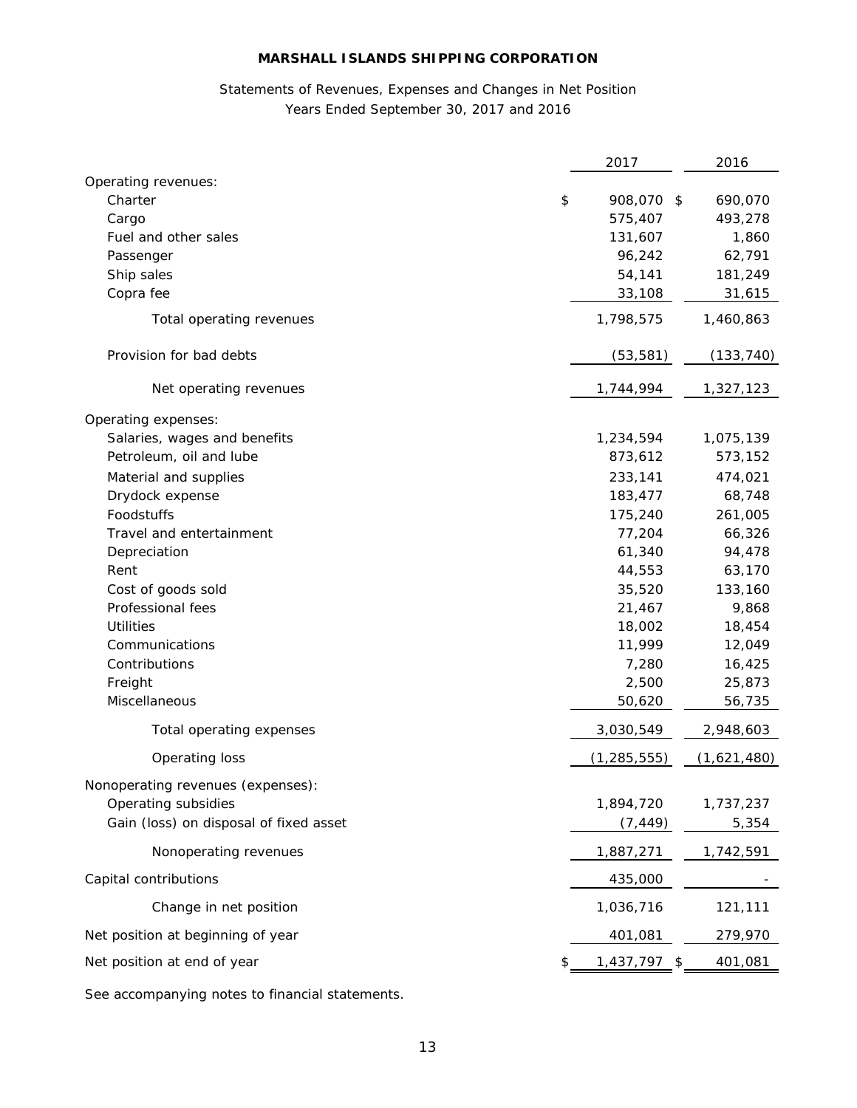# Statements of Revenues, Expenses and Changes in Net Position Years Ended September 30, 2017 and 2016

| Operating revenues:<br>908,070 \$<br>Charter<br>\$<br>690,070<br>575,407<br>493,278<br>Cargo<br>131,607<br>Fuel and other sales<br>1,860<br>96,242<br>62,791<br>Passenger<br>Ship sales<br>54,141<br>181,249<br>Copra fee<br>33,108<br>31,615<br>1,798,575<br>1,460,863<br>Total operating revenues<br>Provision for bad debts<br>(53, 581)<br>(133, 740)<br>1,744,994<br>1,327,123<br>Net operating revenues<br>Operating expenses:<br>Salaries, wages and benefits<br>1,234,594<br>1,075,139<br>Petroleum, oil and lube<br>873,612<br>573,152<br>233,141<br>Material and supplies<br>474,021<br>183,477<br>68,748<br>Drydock expense<br>Foodstuffs<br>175,240<br>261,005<br>77,204<br>Travel and entertainment<br>66,326<br>61,340<br>Depreciation<br>94,478<br>Rent<br>44,553<br>63,170<br>35,520<br>Cost of goods sold<br>133,160<br>Professional fees<br>21,467<br>9,868<br><b>Utilities</b><br>18,002<br>18,454<br>Communications<br>11,999<br>12,049<br>Contributions<br>7,280<br>16,425<br>2,500<br>Freight<br>25,873<br>Miscellaneous<br>50,620<br>56,735<br>Total operating expenses<br>3,030,549<br>2,948,603<br>(1,621,480)<br>Operating loss<br>(1, 285, 555)<br>Nonoperating revenues (expenses):<br>1,894,720<br>Operating subsidies<br>1,737,237<br>Gain (loss) on disposal of fixed asset<br>5,354<br>(7, 449)<br>1,742,591<br>Nonoperating revenues<br>1,887,271<br>Capital contributions<br>435,000<br>Change in net position<br>1,036,716<br>121,111<br>279,970<br>Net position at beginning of year<br>401,081<br>Net position at end of year<br>$1,437,797$ \$<br>401,081<br>\$ | 2017 | 2016 |
|-------------------------------------------------------------------------------------------------------------------------------------------------------------------------------------------------------------------------------------------------------------------------------------------------------------------------------------------------------------------------------------------------------------------------------------------------------------------------------------------------------------------------------------------------------------------------------------------------------------------------------------------------------------------------------------------------------------------------------------------------------------------------------------------------------------------------------------------------------------------------------------------------------------------------------------------------------------------------------------------------------------------------------------------------------------------------------------------------------------------------------------------------------------------------------------------------------------------------------------------------------------------------------------------------------------------------------------------------------------------------------------------------------------------------------------------------------------------------------------------------------------------------------------------------------------------------------------------------------|------|------|
|                                                                                                                                                                                                                                                                                                                                                                                                                                                                                                                                                                                                                                                                                                                                                                                                                                                                                                                                                                                                                                                                                                                                                                                                                                                                                                                                                                                                                                                                                                                                                                                                       |      |      |
|                                                                                                                                                                                                                                                                                                                                                                                                                                                                                                                                                                                                                                                                                                                                                                                                                                                                                                                                                                                                                                                                                                                                                                                                                                                                                                                                                                                                                                                                                                                                                                                                       |      |      |
|                                                                                                                                                                                                                                                                                                                                                                                                                                                                                                                                                                                                                                                                                                                                                                                                                                                                                                                                                                                                                                                                                                                                                                                                                                                                                                                                                                                                                                                                                                                                                                                                       |      |      |
|                                                                                                                                                                                                                                                                                                                                                                                                                                                                                                                                                                                                                                                                                                                                                                                                                                                                                                                                                                                                                                                                                                                                                                                                                                                                                                                                                                                                                                                                                                                                                                                                       |      |      |
|                                                                                                                                                                                                                                                                                                                                                                                                                                                                                                                                                                                                                                                                                                                                                                                                                                                                                                                                                                                                                                                                                                                                                                                                                                                                                                                                                                                                                                                                                                                                                                                                       |      |      |
|                                                                                                                                                                                                                                                                                                                                                                                                                                                                                                                                                                                                                                                                                                                                                                                                                                                                                                                                                                                                                                                                                                                                                                                                                                                                                                                                                                                                                                                                                                                                                                                                       |      |      |
|                                                                                                                                                                                                                                                                                                                                                                                                                                                                                                                                                                                                                                                                                                                                                                                                                                                                                                                                                                                                                                                                                                                                                                                                                                                                                                                                                                                                                                                                                                                                                                                                       |      |      |
|                                                                                                                                                                                                                                                                                                                                                                                                                                                                                                                                                                                                                                                                                                                                                                                                                                                                                                                                                                                                                                                                                                                                                                                                                                                                                                                                                                                                                                                                                                                                                                                                       |      |      |
|                                                                                                                                                                                                                                                                                                                                                                                                                                                                                                                                                                                                                                                                                                                                                                                                                                                                                                                                                                                                                                                                                                                                                                                                                                                                                                                                                                                                                                                                                                                                                                                                       |      |      |
|                                                                                                                                                                                                                                                                                                                                                                                                                                                                                                                                                                                                                                                                                                                                                                                                                                                                                                                                                                                                                                                                                                                                                                                                                                                                                                                                                                                                                                                                                                                                                                                                       |      |      |
|                                                                                                                                                                                                                                                                                                                                                                                                                                                                                                                                                                                                                                                                                                                                                                                                                                                                                                                                                                                                                                                                                                                                                                                                                                                                                                                                                                                                                                                                                                                                                                                                       |      |      |
|                                                                                                                                                                                                                                                                                                                                                                                                                                                                                                                                                                                                                                                                                                                                                                                                                                                                                                                                                                                                                                                                                                                                                                                                                                                                                                                                                                                                                                                                                                                                                                                                       |      |      |
|                                                                                                                                                                                                                                                                                                                                                                                                                                                                                                                                                                                                                                                                                                                                                                                                                                                                                                                                                                                                                                                                                                                                                                                                                                                                                                                                                                                                                                                                                                                                                                                                       |      |      |
|                                                                                                                                                                                                                                                                                                                                                                                                                                                                                                                                                                                                                                                                                                                                                                                                                                                                                                                                                                                                                                                                                                                                                                                                                                                                                                                                                                                                                                                                                                                                                                                                       |      |      |
|                                                                                                                                                                                                                                                                                                                                                                                                                                                                                                                                                                                                                                                                                                                                                                                                                                                                                                                                                                                                                                                                                                                                                                                                                                                                                                                                                                                                                                                                                                                                                                                                       |      |      |
|                                                                                                                                                                                                                                                                                                                                                                                                                                                                                                                                                                                                                                                                                                                                                                                                                                                                                                                                                                                                                                                                                                                                                                                                                                                                                                                                                                                                                                                                                                                                                                                                       |      |      |
|                                                                                                                                                                                                                                                                                                                                                                                                                                                                                                                                                                                                                                                                                                                                                                                                                                                                                                                                                                                                                                                                                                                                                                                                                                                                                                                                                                                                                                                                                                                                                                                                       |      |      |
|                                                                                                                                                                                                                                                                                                                                                                                                                                                                                                                                                                                                                                                                                                                                                                                                                                                                                                                                                                                                                                                                                                                                                                                                                                                                                                                                                                                                                                                                                                                                                                                                       |      |      |
|                                                                                                                                                                                                                                                                                                                                                                                                                                                                                                                                                                                                                                                                                                                                                                                                                                                                                                                                                                                                                                                                                                                                                                                                                                                                                                                                                                                                                                                                                                                                                                                                       |      |      |
|                                                                                                                                                                                                                                                                                                                                                                                                                                                                                                                                                                                                                                                                                                                                                                                                                                                                                                                                                                                                                                                                                                                                                                                                                                                                                                                                                                                                                                                                                                                                                                                                       |      |      |
|                                                                                                                                                                                                                                                                                                                                                                                                                                                                                                                                                                                                                                                                                                                                                                                                                                                                                                                                                                                                                                                                                                                                                                                                                                                                                                                                                                                                                                                                                                                                                                                                       |      |      |
|                                                                                                                                                                                                                                                                                                                                                                                                                                                                                                                                                                                                                                                                                                                                                                                                                                                                                                                                                                                                                                                                                                                                                                                                                                                                                                                                                                                                                                                                                                                                                                                                       |      |      |
|                                                                                                                                                                                                                                                                                                                                                                                                                                                                                                                                                                                                                                                                                                                                                                                                                                                                                                                                                                                                                                                                                                                                                                                                                                                                                                                                                                                                                                                                                                                                                                                                       |      |      |
|                                                                                                                                                                                                                                                                                                                                                                                                                                                                                                                                                                                                                                                                                                                                                                                                                                                                                                                                                                                                                                                                                                                                                                                                                                                                                                                                                                                                                                                                                                                                                                                                       |      |      |
|                                                                                                                                                                                                                                                                                                                                                                                                                                                                                                                                                                                                                                                                                                                                                                                                                                                                                                                                                                                                                                                                                                                                                                                                                                                                                                                                                                                                                                                                                                                                                                                                       |      |      |
|                                                                                                                                                                                                                                                                                                                                                                                                                                                                                                                                                                                                                                                                                                                                                                                                                                                                                                                                                                                                                                                                                                                                                                                                                                                                                                                                                                                                                                                                                                                                                                                                       |      |      |
|                                                                                                                                                                                                                                                                                                                                                                                                                                                                                                                                                                                                                                                                                                                                                                                                                                                                                                                                                                                                                                                                                                                                                                                                                                                                                                                                                                                                                                                                                                                                                                                                       |      |      |
|                                                                                                                                                                                                                                                                                                                                                                                                                                                                                                                                                                                                                                                                                                                                                                                                                                                                                                                                                                                                                                                                                                                                                                                                                                                                                                                                                                                                                                                                                                                                                                                                       |      |      |
|                                                                                                                                                                                                                                                                                                                                                                                                                                                                                                                                                                                                                                                                                                                                                                                                                                                                                                                                                                                                                                                                                                                                                                                                                                                                                                                                                                                                                                                                                                                                                                                                       |      |      |
|                                                                                                                                                                                                                                                                                                                                                                                                                                                                                                                                                                                                                                                                                                                                                                                                                                                                                                                                                                                                                                                                                                                                                                                                                                                                                                                                                                                                                                                                                                                                                                                                       |      |      |
|                                                                                                                                                                                                                                                                                                                                                                                                                                                                                                                                                                                                                                                                                                                                                                                                                                                                                                                                                                                                                                                                                                                                                                                                                                                                                                                                                                                                                                                                                                                                                                                                       |      |      |
|                                                                                                                                                                                                                                                                                                                                                                                                                                                                                                                                                                                                                                                                                                                                                                                                                                                                                                                                                                                                                                                                                                                                                                                                                                                                                                                                                                                                                                                                                                                                                                                                       |      |      |
|                                                                                                                                                                                                                                                                                                                                                                                                                                                                                                                                                                                                                                                                                                                                                                                                                                                                                                                                                                                                                                                                                                                                                                                                                                                                                                                                                                                                                                                                                                                                                                                                       |      |      |
|                                                                                                                                                                                                                                                                                                                                                                                                                                                                                                                                                                                                                                                                                                                                                                                                                                                                                                                                                                                                                                                                                                                                                                                                                                                                                                                                                                                                                                                                                                                                                                                                       |      |      |
|                                                                                                                                                                                                                                                                                                                                                                                                                                                                                                                                                                                                                                                                                                                                                                                                                                                                                                                                                                                                                                                                                                                                                                                                                                                                                                                                                                                                                                                                                                                                                                                                       |      |      |
|                                                                                                                                                                                                                                                                                                                                                                                                                                                                                                                                                                                                                                                                                                                                                                                                                                                                                                                                                                                                                                                                                                                                                                                                                                                                                                                                                                                                                                                                                                                                                                                                       |      |      |

See accompanying notes to financial statements.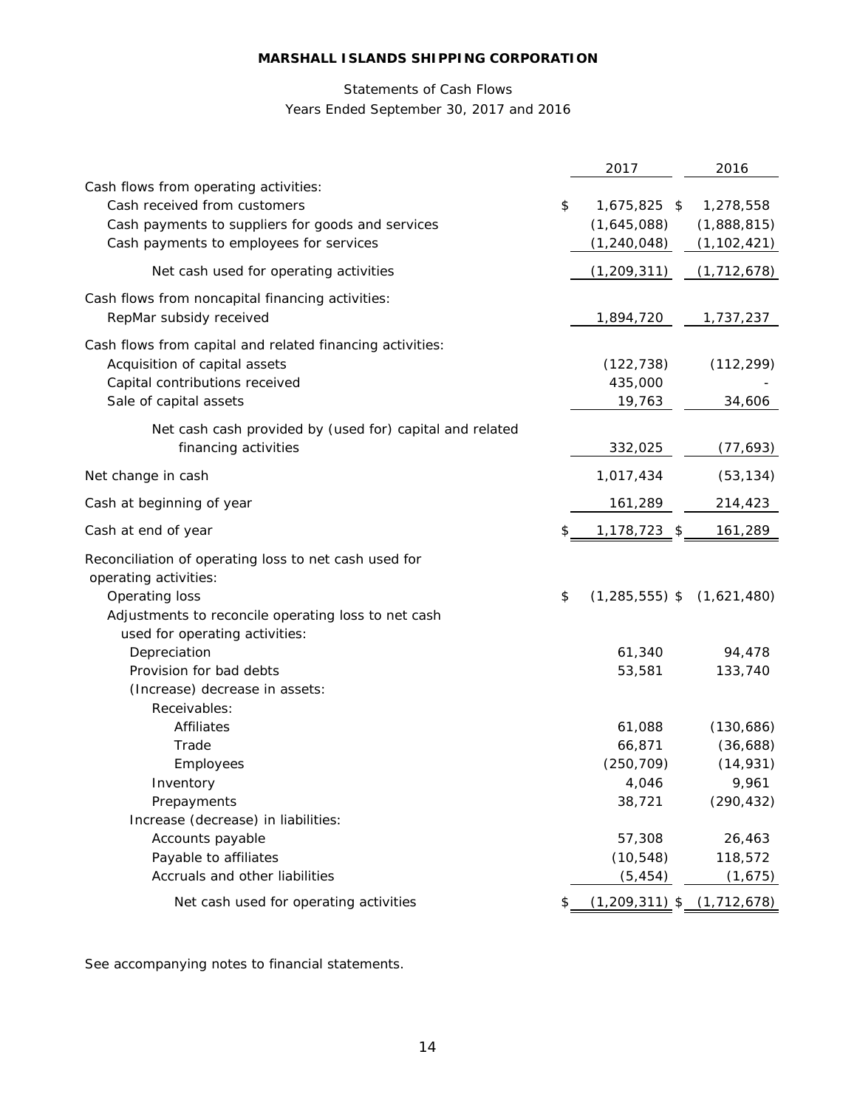# Statements of Cash Flows

Years Ended September 30, 2017 and 2016

|                                                                                                                                                                       | 2017                                                              | 2016                                                       |
|-----------------------------------------------------------------------------------------------------------------------------------------------------------------------|-------------------------------------------------------------------|------------------------------------------------------------|
| Cash flows from operating activities:<br>Cash received from customers<br>Cash payments to suppliers for goods and services<br>Cash payments to employees for services | \$<br>1,675,825 \$<br>(1,645,088)<br>(1, 240, 048)                | 1,278,558<br>(1,888,815)<br>(1, 102, 421)                  |
| Net cash used for operating activities                                                                                                                                | (1, 209, 311)                                                     | (1, 712, 678)                                              |
| Cash flows from noncapital financing activities:<br>RepMar subsidy received                                                                                           | 1,894,720                                                         | 1,737,237                                                  |
| Cash flows from capital and related financing activities:<br>Acquisition of capital assets<br>Capital contributions received<br>Sale of capital assets                | (122, 738)<br>435,000<br>19,763                                   | (112, 299)<br>34,606                                       |
| Net cash cash provided by (used for) capital and related<br>financing activities                                                                                      | 332,025                                                           | (77, 693)                                                  |
| Net change in cash                                                                                                                                                    | 1,017,434                                                         | (53, 134)                                                  |
| Cash at beginning of year                                                                                                                                             | 161,289                                                           | 214,423                                                    |
| Cash at end of year                                                                                                                                                   | \$<br>1,178,723<br>- \$                                           | 161,289                                                    |
| Reconciliation of operating loss to net cash used for<br>operating activities:<br>Operating loss<br>Adjustments to reconcile operating loss to net cash               | \$<br>$(1, 285, 555)$ \$                                          | (1,621,480)                                                |
| used for operating activities:<br>Depreciation<br>Provision for bad debts<br>(Increase) decrease in assets:<br>Receivables:                                           | 61,340<br>53,581                                                  | 94,478<br>133,740                                          |
| Affiliates<br>Trade<br>Employees<br>Inventory<br>Prepayments<br>Increase (decrease) in liabilities:                                                                   | 61,088<br>66,871<br>(250, 709)<br>4,046<br>38,721                 | (130, 686)<br>(36,688)<br>(14, 931)<br>9,961<br>(290, 432) |
| Accounts payable<br>Payable to affiliates<br>Accruals and other liabilities<br>Net cash used for operating activities                                                 | 57,308<br>(10, 548)<br>(5, 454)<br>$(1,209,311)$ \$ $(1,712,678)$ | 26,463<br>118,572<br>(1,675)                               |
|                                                                                                                                                                       |                                                                   |                                                            |

See accompanying notes to financial statements.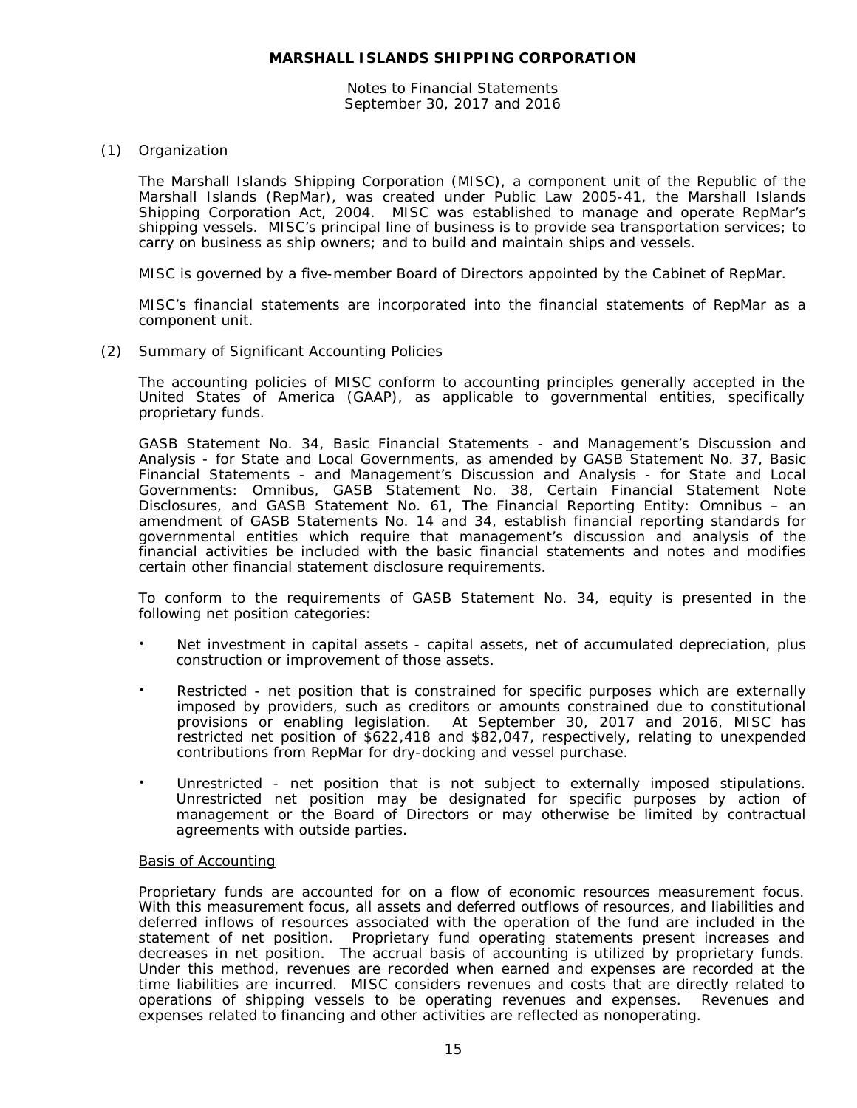Notes to Financial Statements September 30, 2017 and 2016

#### (1) Organization

The Marshall Islands Shipping Corporation (MISC), a component unit of the Republic of the Marshall Islands (RepMar), was created under Public Law 2005-41, the Marshall Islands Shipping Corporation Act, 2004. MISC was established to manage and operate RepMar's shipping vessels. MISC's principal line of business is to provide sea transportation services; to carry on business as ship owners; and to build and maintain ships and vessels.

MISC is governed by a five-member Board of Directors appointed by the Cabinet of RepMar.

MISC's financial statements are incorporated into the financial statements of RepMar as a component unit.

#### (2) Summary of Significant Accounting Policies

The accounting policies of MISC conform to accounting principles generally accepted in the United States of America (GAAP), as applicable to governmental entities, specifically proprietary funds.

GASB Statement No. 34, *Basic Financial Statements - and Management's Discussion and Analysis - for State and Local Governments*, as amended by GASB Statement No. 37, *Basic Financial Statements - and Management's Discussion and Analysis - for State and Local Governments: Omnibus*, GASB Statement No. 38, *Certain Financial Statement Note Disclosures*, and GASB Statement No. 61, *The Financial Reporting Entity: Omnibus – an amendment of GASB Statements No. 14 and 34,* establish financial reporting standards for governmental entities which require that management's discussion and analysis of the financial activities be included with the basic financial statements and notes and modifies certain other financial statement disclosure requirements.

To conform to the requirements of GASB Statement No. 34, equity is presented in the following net position categories:

- Net investment in capital assets capital assets, net of accumulated depreciation, plus construction or improvement of those assets.
- Restricted net position that is constrained for specific purposes which are externally imposed by providers, such as creditors or amounts constrained due to constitutional provisions or enabling legislation. At September 30, 2017 and 2016, MISC has restricted net position of \$622,418 and \$82,047, respectively, relating to unexpended contributions from RepMar for dry-docking and vessel purchase.
- Unrestricted net position that is not subject to externally imposed stipulations. Unrestricted net position may be designated for specific purposes by action of management or the Board of Directors or may otherwise be limited by contractual agreements with outside parties.

#### Basis of Accounting

Proprietary funds are accounted for on a flow of economic resources measurement focus. With this measurement focus, all assets and deferred outflows of resources, and liabilities and deferred inflows of resources associated with the operation of the fund are included in the statement of net position. Proprietary fund operating statements present increases and decreases in net position. The accrual basis of accounting is utilized by proprietary funds. Under this method, revenues are recorded when earned and expenses are recorded at the time liabilities are incurred. MISC considers revenues and costs that are directly related to operations of shipping vessels to be operating revenues and expenses. Revenues and expenses related to financing and other activities are reflected as nonoperating.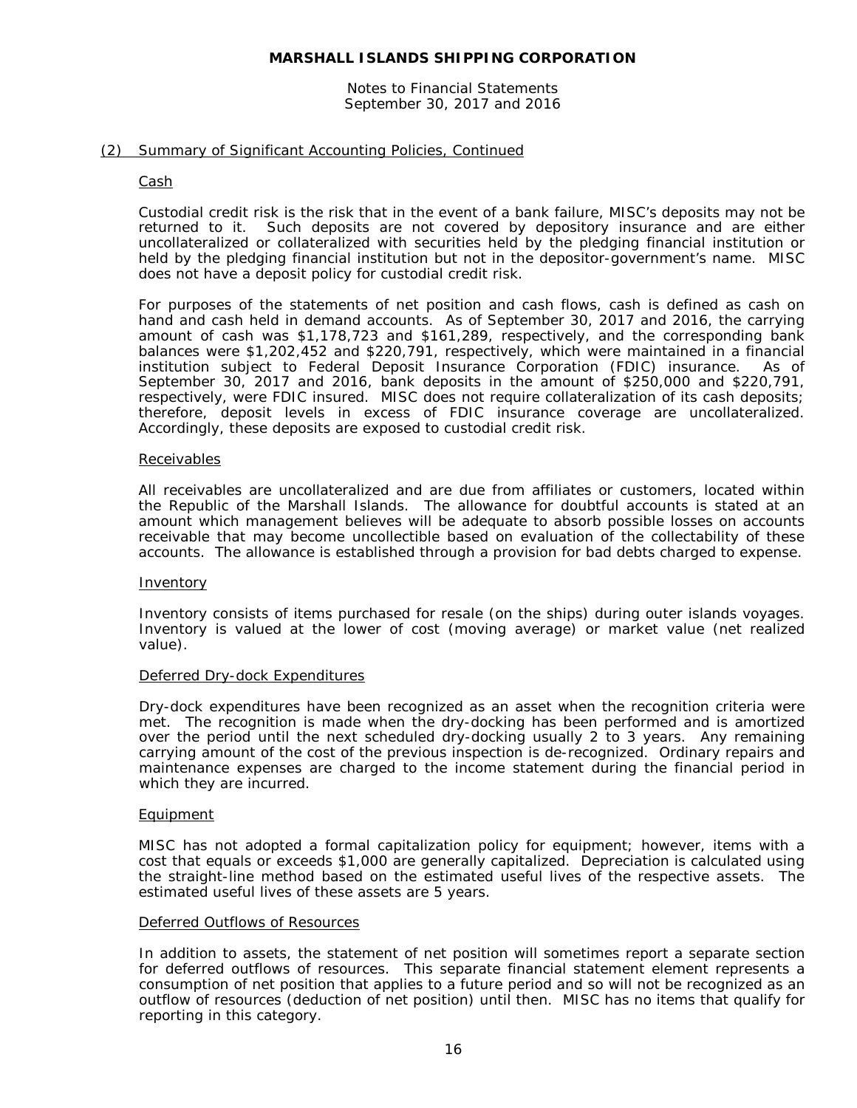#### Notes to Financial Statements September 30, 2017 and 2016

## (2) Summary of Significant Accounting Policies, Continued

#### Cash

Custodial credit risk is the risk that in the event of a bank failure, MISC's deposits may not be returned to it. Such deposits are not covered by depository insurance and are either uncollateralized or collateralized with securities held by the pledging financial institution or held by the pledging financial institution but not in the depositor-government's name. MISC does not have a deposit policy for custodial credit risk.

For purposes of the statements of net position and cash flows, cash is defined as cash on hand and cash held in demand accounts. As of September 30, 2017 and 2016, the carrying amount of cash was \$1,178,723 and \$161,289, respectively, and the corresponding bank balances were \$1,202,452 and \$220,791, respectively, which were maintained in a financial institution subject to Federal Deposit Insurance Corporation (FDIC) insurance. As of September 30, 2017 and 2016, bank deposits in the amount of \$250,000 and \$220,791, respectively, were FDIC insured. MISC does not require collateralization of its cash deposits; therefore, deposit levels in excess of FDIC insurance coverage are uncollateralized. Accordingly, these deposits are exposed to custodial credit risk.

#### **Receivables**

All receivables are uncollateralized and are due from affiliates or customers, located within the Republic of the Marshall Islands. The allowance for doubtful accounts is stated at an amount which management believes will be adequate to absorb possible losses on accounts receivable that may become uncollectible based on evaluation of the collectability of these accounts. The allowance is established through a provision for bad debts charged to expense.

#### Inventory

Inventory consists of items purchased for resale (on the ships) during outer islands voyages. Inventory is valued at the lower of cost (moving average) or market value (net realized value).

#### Deferred Dry-dock Expenditures

Dry-dock expenditures have been recognized as an asset when the recognition criteria were met. The recognition is made when the dry-docking has been performed and is amortized over the period until the next scheduled dry-docking usually 2 to 3 years. Any remaining carrying amount of the cost of the previous inspection is de-recognized. Ordinary repairs and maintenance expenses are charged to the income statement during the financial period in which they are incurred.

#### Equipment

MISC has not adopted a formal capitalization policy for equipment; however, items with a cost that equals or exceeds \$1,000 are generally capitalized. Depreciation is calculated using the straight-line method based on the estimated useful lives of the respective assets. The estimated useful lives of these assets are 5 years.

# Deferred Outflows of Resources

In addition to assets, the statement of net position will sometimes report a separate section for deferred outflows of resources. This separate financial statement element represents a consumption of net position that applies to a future period and so will not be recognized as an outflow of resources (deduction of net position) until then. MISC has no items that qualify for reporting in this category.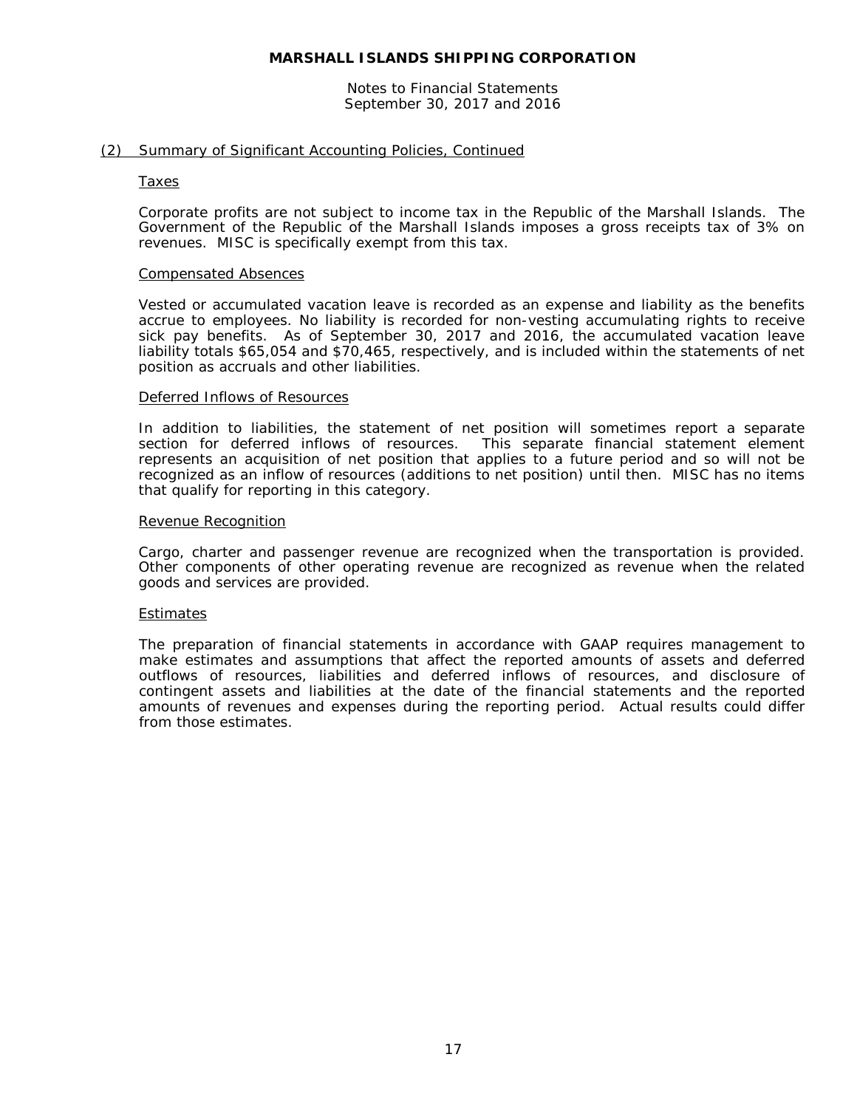Notes to Financial Statements September 30, 2017 and 2016

#### (2) Summary of Significant Accounting Policies, Continued

#### Taxes

Corporate profits are not subject to income tax in the Republic of the Marshall Islands. The Government of the Republic of the Marshall Islands imposes a gross receipts tax of 3% on revenues. MISC is specifically exempt from this tax.

#### Compensated Absences

Vested or accumulated vacation leave is recorded as an expense and liability as the benefits accrue to employees. No liability is recorded for non-vesting accumulating rights to receive sick pay benefits. As of September 30, 2017 and 2016, the accumulated vacation leave liability totals \$65,054 and \$70,465, respectively, and is included within the statements of net position as accruals and other liabilities.

#### Deferred Inflows of Resources

In addition to liabilities, the statement of net position will sometimes report a separate section for deferred inflows of resources. This separate financial statement element This separate financial statement element represents an acquisition of net position that applies to a future period and so will not be recognized as an inflow of resources (additions to net position) until then. MISC has no items that qualify for reporting in this category.

#### Revenue Recognition

Cargo, charter and passenger revenue are recognized when the transportation is provided. Other components of other operating revenue are recognized as revenue when the related goods and services are provided.

#### Estimates

The preparation of financial statements in accordance with GAAP requires management to make estimates and assumptions that affect the reported amounts of assets and deferred outflows of resources, liabilities and deferred inflows of resources, and disclosure of contingent assets and liabilities at the date of the financial statements and the reported amounts of revenues and expenses during the reporting period. Actual results could differ from those estimates.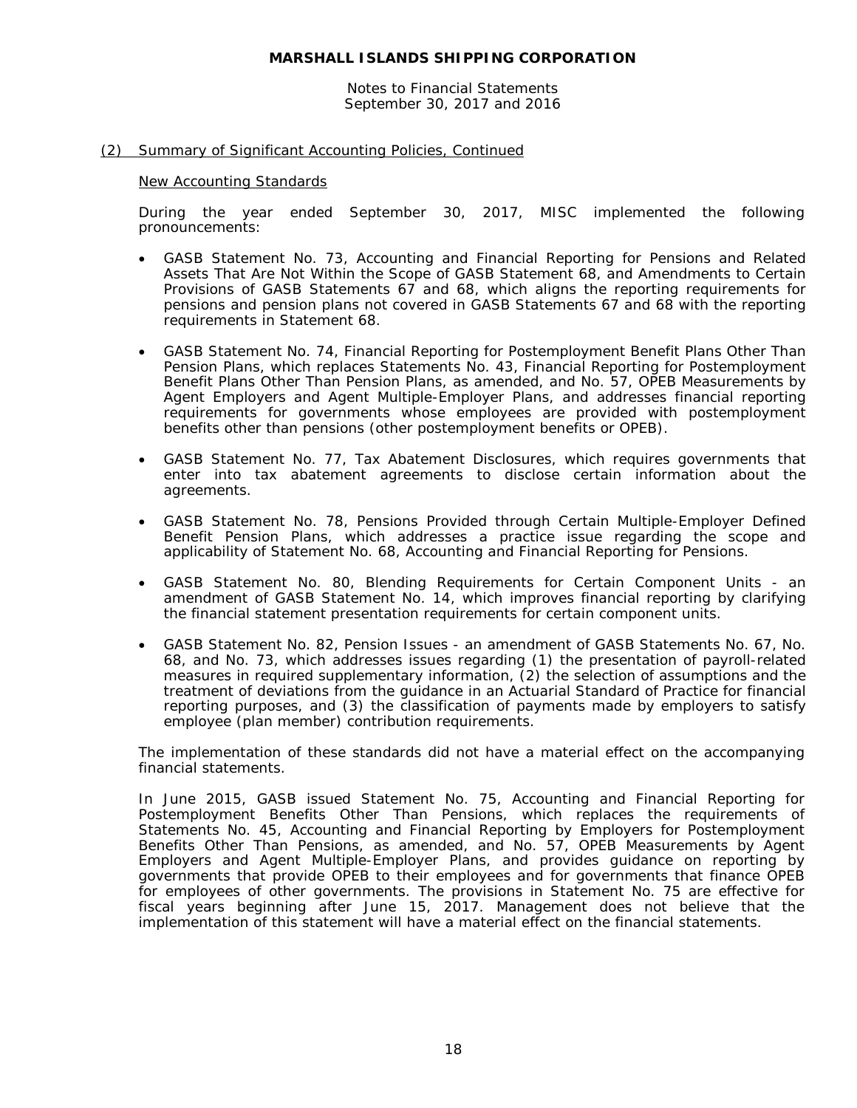Notes to Financial Statements September 30, 2017 and 2016

#### (2) Summary of Significant Accounting Policies, Continued

#### New Accounting Standards

During the year ended September 30, 2017, MISC implemented the following pronouncements:

- GASB Statement No. 73, *Accounting and Financial Reporting for Pensions and Related Assets That Are Not Within the Scope of GASB Statement 68, and Amendments to Certain Provisions of GASB Statements 67 and 68*, which aligns the reporting requirements for pensions and pension plans not covered in GASB Statements 67 and 68 with the reporting requirements in Statement 68.
- GASB Statement No. 74, *Financial Reporting for Postemployment Benefit Plans Other Than Pension Plans*, which replaces Statements No. 43, *Financial Reporting for Postemployment Benefit Plans Other Than Pension Plans, as amended,* and No. 57, *OPEB Measurements by Agent Employers and Agent Multiple-Employer Plans*, and addresses financial reporting requirements for governments whose employees are provided with postemployment benefits other than pensions (other postemployment benefits or OPEB).
- GASB Statement No. 77, *Tax Abatement Disclosures,* which requires governments that enter into tax abatement agreements to disclose certain information about the agreements.
- GASB Statement No. 78, *Pensions Provided through Certain Multiple-Employer Defined Benefit Pension Plans,* which addresses a practice issue regarding the scope and applicability of Statement No. 68, Accounting and Financial Reporting for Pensions.
- GASB Statement No. 80, *Blending Requirements for Certain Component Units - an amendment of GASB Statement No. 14,* which improves financial reporting by clarifying the financial statement presentation requirements for certain component units.
- GASB Statement No. 82, *Pension Issues - an amendment of GASB Statements No. 67, No. 68, and No. 73,* which addresses issues regarding (1) the presentation of payroll-related measures in required supplementary information, (2) the selection of assumptions and the treatment of deviations from the guidance in an Actuarial Standard of Practice for financial reporting purposes, and (3) the classification of payments made by employers to satisfy employee (plan member) contribution requirements.

The implementation of these standards did not have a material effect on the accompanying financial statements.

In June 2015, GASB issued Statement No. 75, *Accounting and Financial Reporting for Postemployment Benefits Other Than Pensions*, which replaces the requirements of Statements No. 45, *Accounting and Financial Reporting by Employers for Postemployment Benefits Other Than Pensions*, as amended, and No. 57, *OPEB Measurements by Agent Employers and Agent Multiple-Employer Plans*, and provides guidance on reporting by governments that provide OPEB to their employees and for governments that finance OPEB for employees of other governments. The provisions in Statement No. 75 are effective for fiscal years beginning after June 15, 2017. Management does not believe that the implementation of this statement will have a material effect on the financial statements.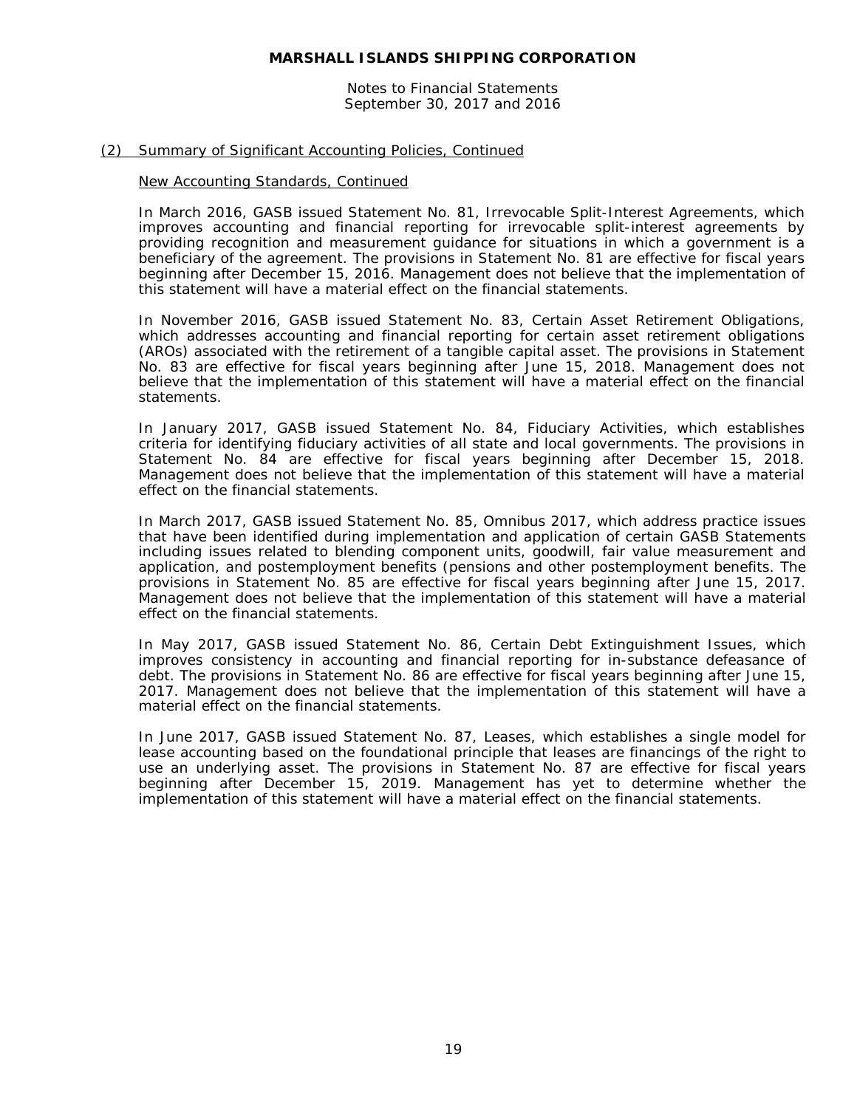Notes to Financial Statements September 30, 2017 and 2016

#### (2) Summary of Significant Accounting Policies, Continued

#### New Accounting Standards, Continued

In March 2016, GASB issued Statement No. 81, *Irrevocable Split-Interest Agreements,* which improves accounting and financial reporting for irrevocable split-interest agreements by providing recognition and measurement guidance for situations in which a government is a beneficiary of the agreement. The provisions in Statement No. 81 are effective for fiscal years beginning after December 15, 2016. Management does not believe that the implementation of this statement will have a material effect on the financial statements.

In November 2016, GASB issued Statement No. 83, *Certain Asset Retirement Obligations*, which addresses accounting and financial reporting for certain asset retirement obligations (AROs) associated with the retirement of a tangible capital asset. The provisions in Statement No. 83 are effective for fiscal years beginning after June 15, 2018. Management does not believe that the implementation of this statement will have a material effect on the financial statements.

In January 2017, GASB issued Statement No. 84, *Fiduciary Activities*, which establishes criteria for identifying fiduciary activities of all state and local governments. The provisions in Statement No. 84 are effective for fiscal years beginning after December 15, 2018. Management does not believe that the implementation of this statement will have a material effect on the financial statements.

In March 2017, GASB issued Statement No. 85, *Omnibus 2017*, which address practice issues that have been identified during implementation and application of certain GASB Statements including issues related to blending component units, goodwill, fair value measurement and application, and postemployment benefits (pensions and other postemployment benefits. The provisions in Statement No. 85 are effective for fiscal years beginning after June 15, 2017. Management does not believe that the implementation of this statement will have a material effect on the financial statements.

In May 2017, GASB issued Statement No. 86, *Certain Debt Extinguishment Issues*, which improves consistency in accounting and financial reporting for in-substance defeasance of debt. The provisions in Statement No. 86 are effective for fiscal years beginning after June 15, 2017. Management does not believe that the implementation of this statement will have a material effect on the financial statements.

In June 2017, GASB issued Statement No. 87, *Leases*, which establishes a single model for lease accounting based on the foundational principle that leases are financings of the right to use an underlying asset. The provisions in Statement No. 87 are effective for fiscal years beginning after December 15, 2019. Management has yet to determine whether the implementation of this statement will have a material effect on the financial statements.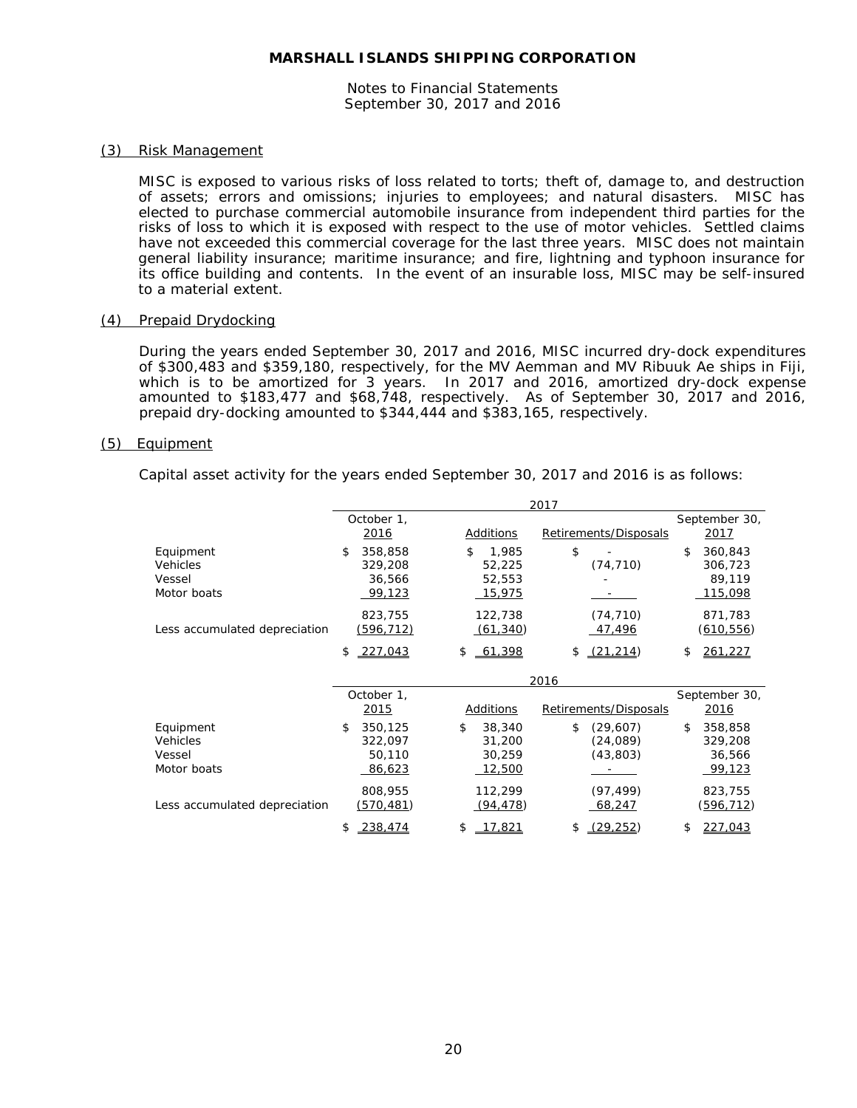Notes to Financial Statements September 30, 2017 and 2016

#### (3) Risk Management

MISC is exposed to various risks of loss related to torts; theft of, damage to, and destruction of assets; errors and omissions; injuries to employees; and natural disasters. MISC has elected to purchase commercial automobile insurance from independent third parties for the risks of loss to which it is exposed with respect to the use of motor vehicles. Settled claims have not exceeded this commercial coverage for the last three years. MISC does not maintain general liability insurance; maritime insurance; and fire, lightning and typhoon insurance for its office building and contents. In the event of an insurable loss, MISC may be self-insured to a material extent.

#### (4) Prepaid Drydocking

During the years ended September 30, 2017 and 2016, MISC incurred dry-dock expenditures of \$300,483 and \$359,180, respectively, for the MV Aemman and MV Ribuuk Ae ships in Fiji, which is to be amortized for 3 years. In 2017 and 2016, amortized dry-dock expense amounted to \$183,477 and \$68,748, respectively. As of September 30, 2017 and 2016, prepaid dry-docking amounted to \$344,444 and \$383,165, respectively.

#### (5) Equipment

Capital asset activity for the years ended September 30, 2017 and 2016 is as follows:

|                                                |                                              |                                            | 2017                                    |                                                       |
|------------------------------------------------|----------------------------------------------|--------------------------------------------|-----------------------------------------|-------------------------------------------------------|
|                                                | October 1,<br>2016                           | Additions                                  | Retirements/Disposals                   | September 30,<br><u>2017</u>                          |
| Equipment<br>Vehicles<br>Vessel<br>Motor boats | 358,858<br>\$<br>329,208<br>36,566<br>99,123 | \$<br>1,985<br>52,225<br>52,553<br>15,975  | \$<br>(74, 710)                         | 360,843<br>\$.<br>306,723<br>89,119<br><u>115,098</u> |
| Less accumulated depreciation                  | 823,755<br>(596, 712)                        | 122,738<br>(61, 340)                       | (74, 710)<br><u>47,496</u>              | 871,783<br>(610,556)                                  |
|                                                | 227,043<br>\$                                | 61,398<br>\$                               | (21, 214)<br>\$                         | \$<br>261,227                                         |
|                                                |                                              |                                            | 2016                                    |                                                       |
|                                                | October 1,<br>2015                           | Additions                                  | Retirements/Disposals                   | September 30,<br>2016                                 |
| Equipment<br>Vehicles<br>Vessel<br>Motor boats | 350,125<br>\$<br>322,097<br>50,110<br>86,623 | \$<br>38,340<br>31,200<br>30,259<br>12,500 | \$<br>(29,607)<br>(24,089)<br>(43, 803) | 358,858<br>\$<br>329,208<br>36,566<br>99,123          |
| Less accumulated depreciation                  | 808,955<br><u>(570,481)</u>                  | 112,299<br>(94, 478)                       | (97, 499)<br>68,247                     | 823,755<br><u>(596,712)</u>                           |
|                                                | 238,474<br>\$                                | 17,821<br>\$                               | (29, 252)<br>\$                         | 227.043<br>\$                                         |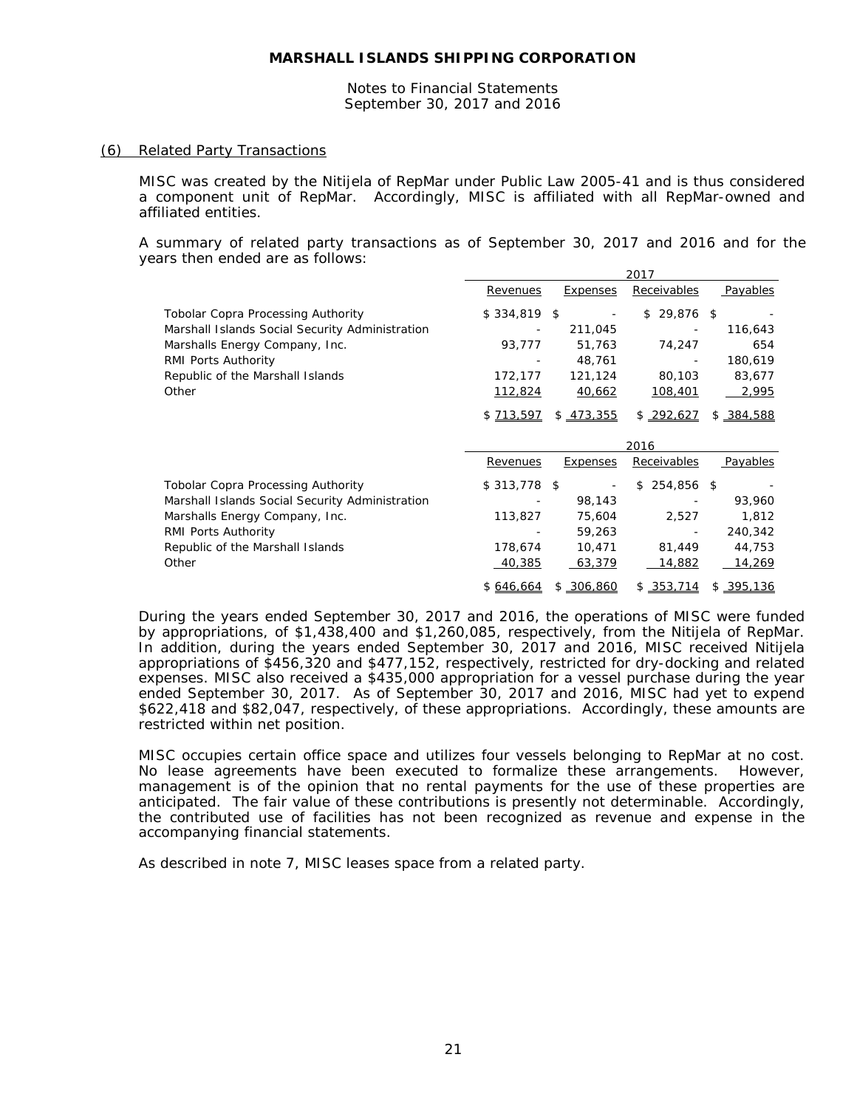Notes to Financial Statements September 30, 2017 and 2016

#### (6) Related Party Transactions

MISC was created by the Nitijela of RepMar under Public Law 2005-41 and is thus considered a component unit of RepMar. Accordingly, MISC is affiliated with all RepMar-owned and affiliated entities.

A summary of related party transactions as of September 30, 2017 and 2016 and for the years then ended are as follows:

|                                                 |               |                 | 2017              |               |
|-------------------------------------------------|---------------|-----------------|-------------------|---------------|
|                                                 | Revenues      | Expenses        | Receivables       | Payables      |
| <b>Tobolar Copra Processing Authority</b>       | $$334,819$ \$ |                 | 29,876 \$<br>\$   |               |
| Marshall Islands Social Security Administration |               | 211,045         |                   | 116,643       |
| Marshalls Energy Company, Inc.                  | 93,777        | 51,763          | 74,247            | 654           |
| RMI Ports Authority                             |               | 48,761          |                   | 180,619       |
| Republic of the Marshall Islands                | 172,177       | 121,124         | 80,103            | 83,677        |
| Other                                           | 112,824       | 40,662          | 108,401           | 2,995         |
|                                                 | \$ 713,597    | \$473,355       | \$292,627         | \$ 384,588    |
|                                                 |               |                 |                   |               |
|                                                 |               |                 | 2016              |               |
|                                                 | Revenues      | <b>Expenses</b> | Receivables       | Payables      |
| <b>Tobolar Copra Processing Authority</b>       | $$313,778$ \$ |                 | 254,856 \$<br>\$. |               |
| Marshall Islands Social Security Administration |               | 98,143          |                   | 93,960        |
| Marshalls Energy Company, Inc.                  | 113,827       | 75,604          | 2,527             | 1,812         |
| RMI Ports Authority                             |               | 59,263          |                   | 240,342       |
| Republic of the Marshall Islands                | 178,674       | 10,471          | 81,449            | 44,753        |
| Other                                           | 40,385        | 63,379          | 14,882            | <u>14,269</u> |

During the years ended September 30, 2017 and 2016, the operations of MISC were funded by appropriations, of \$1,438,400 and \$1,260,085, respectively, from the Nitijela of RepMar. In addition, during the years ended September 30, 2017 and 2016, MISC received Nitijela appropriations of \$456,320 and \$477,152, respectively, restricted for dry-docking and related expenses. MISC also received a \$435,000 appropriation for a vessel purchase during the year ended September 30, 2017. As of September 30, 2017 and 2016, MISC had yet to expend \$622,418 and \$82,047, respectively, of these appropriations. Accordingly, these amounts are restricted within net position.

MISC occupies certain office space and utilizes four vessels belonging to RepMar at no cost. No lease agreements have been executed to formalize these arrangements. However, management is of the opinion that no rental payments for the use of these properties are anticipated. The fair value of these contributions is presently not determinable. Accordingly, the contributed use of facilities has not been recognized as revenue and expense in the accompanying financial statements.

As described in note 7, MISC leases space from a related party.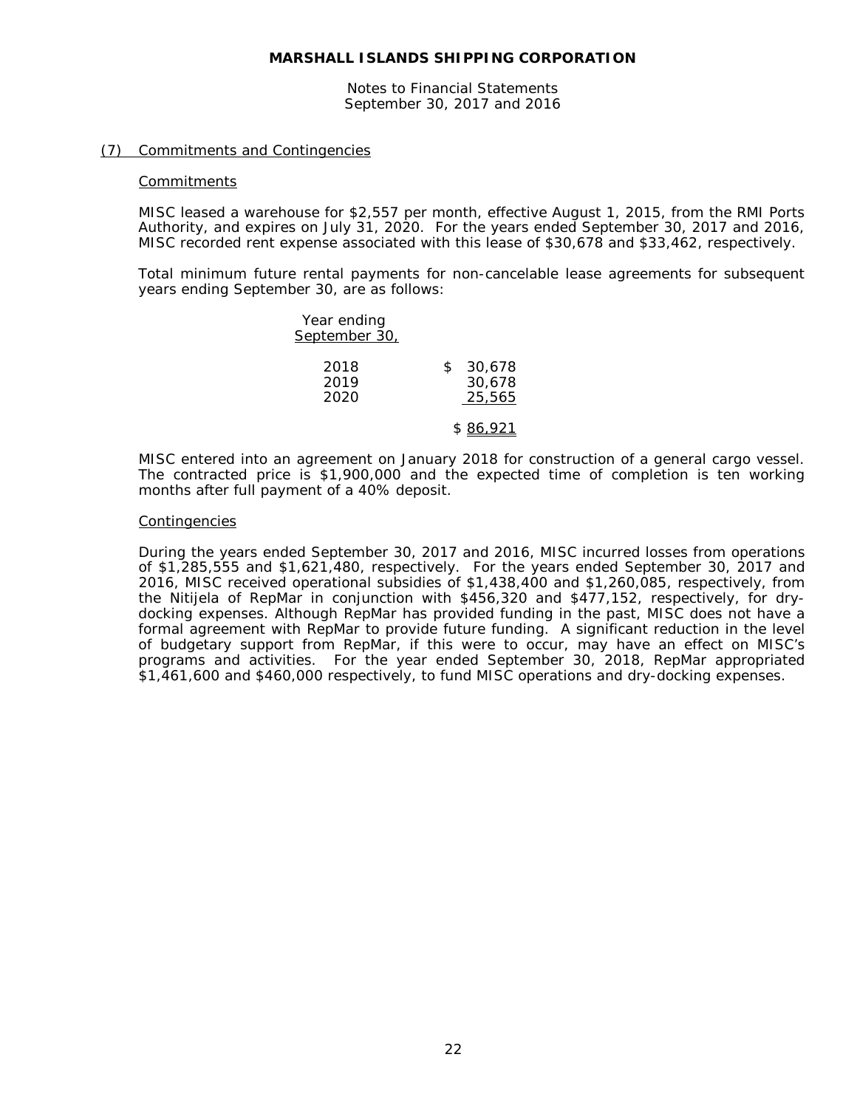Notes to Financial Statements September 30, 2017 and 2016

#### (7) Commitments and Contingencies

#### **Commitments**

MISC leased a warehouse for \$2,557 per month, effective August 1, 2015, from the RMI Ports Authority, and expires on July 31, 2020. For the years ended September 30, 2017 and 2016, MISC recorded rent expense associated with this lease of \$30,678 and \$33,462, respectively.

Total minimum future rental payments for non-cancelable lease agreements for subsequent years ending September 30, are as follows:

| Year ending          |                                  |
|----------------------|----------------------------------|
| September 30,        |                                  |
| 2018<br>2019<br>2020 | 30,678<br>\$<br>30,678<br>25,565 |
|                      | \$ 86.921                        |

MISC entered into an agreement on January 2018 for construction of a general cargo vessel. The contracted price is \$1,900,000 and the expected time of completion is ten working months after full payment of a 40% deposit.

#### Contingencies

During the years ended September 30, 2017 and 2016, MISC incurred losses from operations of \$1,285,555 and \$1,621,480, respectively. For the years ended September 30, 2017 and 2016, MISC received operational subsidies of \$1,438,400 and \$1,260,085, respectively, from the Nitijela of RepMar in conjunction with \$456,320 and \$477,152, respectively, for drydocking expenses. Although RepMar has provided funding in the past, MISC does not have a formal agreement with RepMar to provide future funding. A significant reduction in the level of budgetary support from RepMar, if this were to occur, may have an effect on MISC's programs and activities. For the year ended September 30, 2018, RepMar appropriated \$1,461,600 and \$460,000 respectively, to fund MISC operations and dry-docking expenses.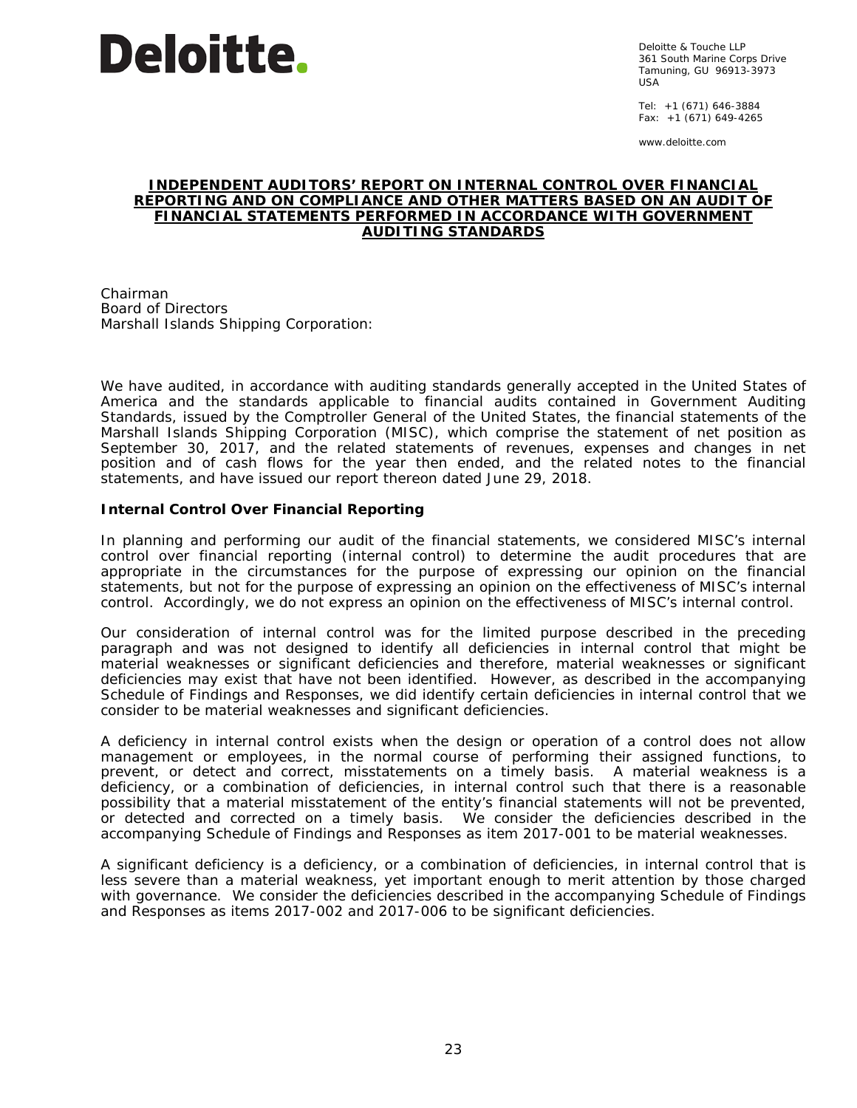

Deloitte & Touche LLP 361 South Marine Corps Drive Tamuning, GU 96913-3973  $115A$ 

Tel: +1 (671) 646-3884 Fax:  $+1$  (671) 649-4265

www.deloitte.com

#### **INDEPENDENT AUDITORS' REPORT ON INTERNAL CONTROL OVER FINANCIAL REPORTING AND ON COMPLIANCE AND OTHER MATTERS BASED ON AN AUDIT OF FINANCIAL STATEMENTS PERFORMED IN ACCORDANCE WITH** *GOVERNMENT AUDITING STANDARDS*

Chairman Board of Directors Marshall Islands Shipping Corporation:

We have audited, in accordance with auditing standards generally accepted in the United States of America and the standards applicable to financial audits contained in *Government Auditing Standards,* issued by the Comptroller General of the United States, the financial statements of the Marshall Islands Shipping Corporation (MISC), which comprise the statement of net position as September 30, 2017, and the related statements of revenues, expenses and changes in net position and of cash flows for the year then ended, and the related notes to the financial statements, and have issued our report thereon dated June 29, 2018.

# **Internal Control Over Financial Reporting**

In planning and performing our audit of the financial statements, we considered MISC's internal control over financial reporting (internal control) to determine the audit procedures that are appropriate in the circumstances for the purpose of expressing our opinion on the financial statements, but not for the purpose of expressing an opinion on the effectiveness of MISC's internal control. Accordingly, we do not express an opinion on the effectiveness of MISC's internal control.

Our consideration of internal control was for the limited purpose described in the preceding paragraph and was not designed to identify all deficiencies in internal control that might be material weaknesses or significant deficiencies and therefore, material weaknesses or significant deficiencies may exist that have not been identified. However, as described in the accompanying Schedule of Findings and Responses, we did identify certain deficiencies in internal control that we consider to be material weaknesses and significant deficiencies.

A *deficiency in internal control* exists when the design or operation of a control does not allow management or employees, in the normal course of performing their assigned functions, to prevent, or detect and correct, misstatements on a timely basis. A *material weakness* is a deficiency, or a combination of deficiencies, in internal control such that there is a reasonable possibility that a material misstatement of the entity's financial statements will not be prevented, or detected and corrected on a timely basis. We consider the deficiencies described in the accompanying Schedule of Findings and Responses as item 2017-001 to be material weaknesses.

A *significant deficiency* is a deficiency, or a combination of deficiencies, in internal control that is less severe than a material weakness, yet important enough to merit attention by those charged with governance. We consider the deficiencies described in the accompanying Schedule of Findings and Responses as items 2017-002 and 2017-006 to be significant deficiencies.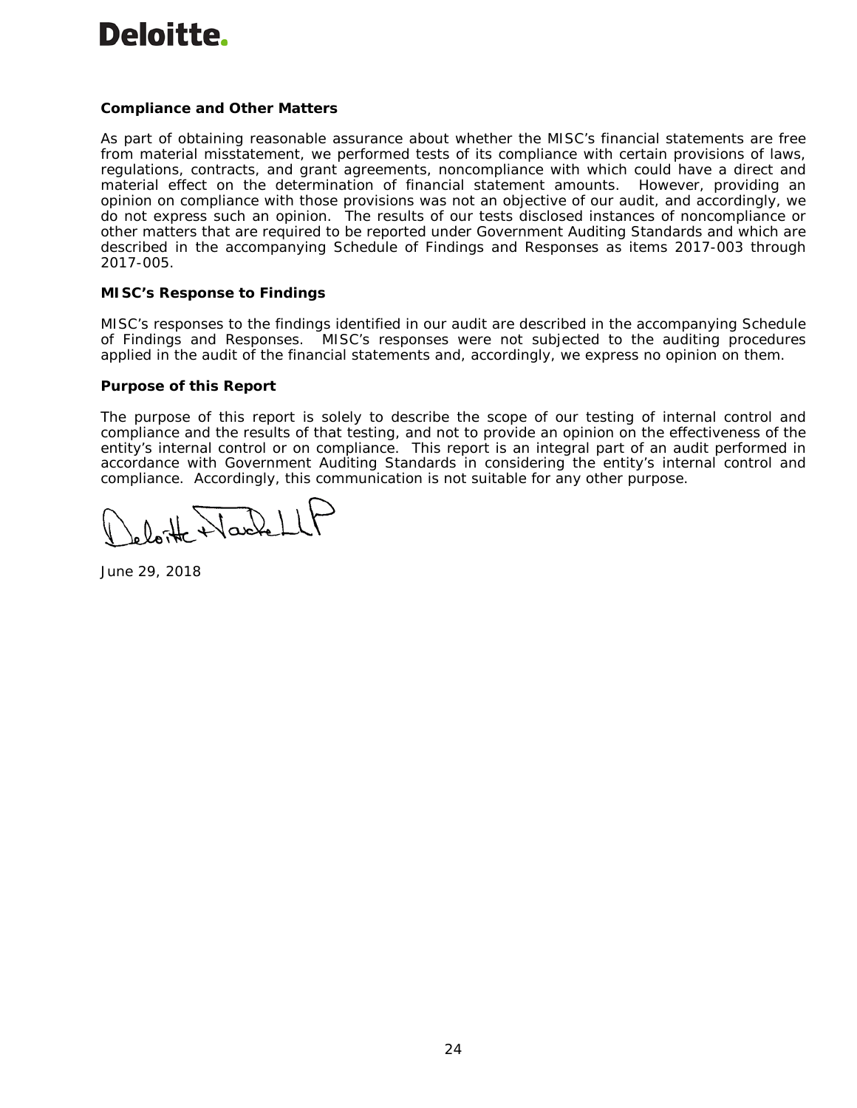# Deloitte.

# **Compliance and Other Matters**

As part of obtaining reasonable assurance about whether the MISC's financial statements are free from material misstatement, we performed tests of its compliance with certain provisions of laws, regulations, contracts, and grant agreements, noncompliance with which could have a direct and material effect on the determination of financial statement amounts. However, providing an opinion on compliance with those provisions was not an objective of our audit, and accordingly, we do not express such an opinion. The results of our tests disclosed instances of noncompliance or other matters that are required to be reported under *Government Auditing Standards* and which are described in the accompanying Schedule of Findings and Responses as items 2017-003 through 2017-005.

# **MISC's Response to Findings**

MISC's responses to the findings identified in our audit are described in the accompanying Schedule of Findings and Responses. MISC's responses were not subjected to the auditing procedures applied in the audit of the financial statements and, accordingly, we express no opinion on them.

## **Purpose of this Report**

The purpose of this report is solely to describe the scope of our testing of internal control and compliance and the results of that testing, and not to provide an opinion on the effectiveness of the entity's internal control or on compliance. This report is an integral part of an audit performed in accordance with *Government Auditing Standards* in considering the entity's internal control and compliance. Accordingly, this communication is not suitable for any other purpose.

H Harlet

June 29, 2018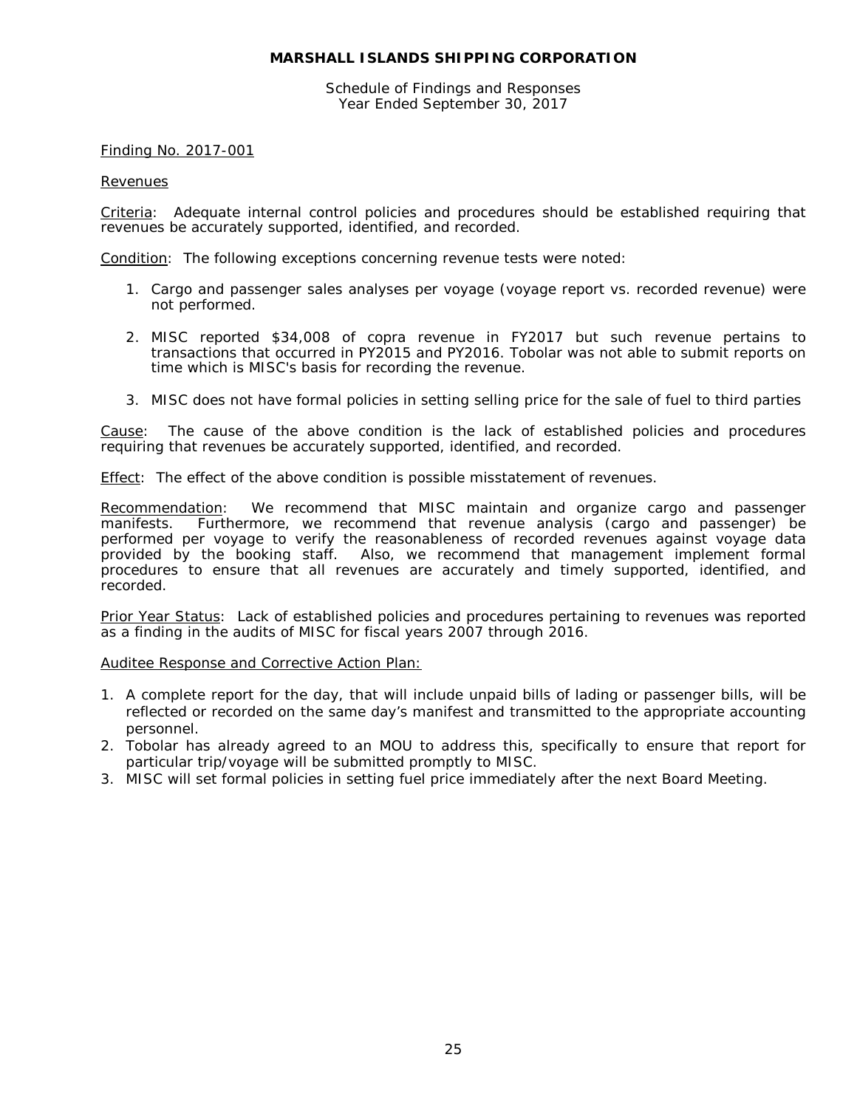Schedule of Findings and Responses Year Ended September 30, 2017

## Finding No. 2017-001

#### **Revenues**

Criteria: Adequate internal control policies and procedures should be established requiring that revenues be accurately supported, identified, and recorded.

Condition: The following exceptions concerning revenue tests were noted:

- 1. Cargo and passenger sales analyses per voyage (voyage report vs. recorded revenue) were not performed.
- 2. MISC reported \$34,008 of copra revenue in FY2017 but such revenue pertains to transactions that occurred in PY2015 and PY2016. Tobolar was not able to submit reports on time which is MISC's basis for recording the revenue.
- 3. MISC does not have formal policies in setting selling price for the sale of fuel to third parties

Cause: The cause of the above condition is the lack of established policies and procedures requiring that revenues be accurately supported, identified, and recorded.

Effect: The effect of the above condition is possible misstatement of revenues.

Recommendation: We recommend that MISC maintain and organize cargo and passenger manifests. Furthermore, we recommend that revenue analysis (cargo and passenger) be performed per voyage to verify the reasonableness of recorded revenues against voyage data provided by the booking staff. Also, we recommend that management implement formal procedures to ensure that all revenues are accurately and timely supported, identified, and recorded.

Prior Year Status: Lack of established policies and procedures pertaining to revenues was reported as a finding in the audits of MISC for fiscal years 2007 through 2016.

Auditee Response and Corrective Action Plan:

- 1. A complete report for the day, that will include unpaid bills of lading or passenger bills, will be reflected or recorded on the same day's manifest and transmitted to the appropriate accounting personnel.
- 2. Tobolar has already agreed to an MOU to address this, specifically to ensure that report for particular trip/voyage will be submitted promptly to MISC.
- 3. MISC will set formal policies in setting fuel price immediately after the next Board Meeting.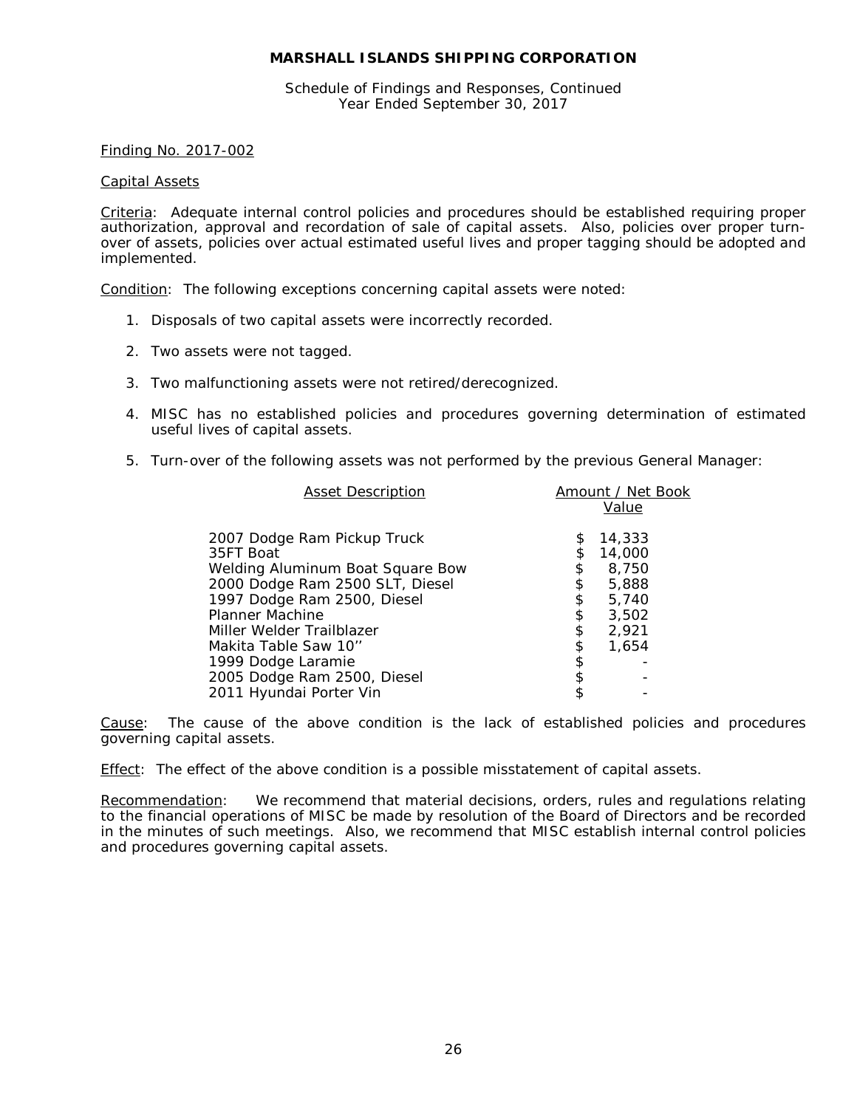Schedule of Findings and Responses, Continued Year Ended September 30, 2017

#### Finding No. 2017-002

#### Capital Assets

Criteria: Adequate internal control policies and procedures should be established requiring proper authorization, approval and recordation of sale of capital assets. Also, policies over proper turnover of assets, policies over actual estimated useful lives and proper tagging should be adopted and implemented.

Condition: The following exceptions concerning capital assets were noted:

- 1. Disposals of two capital assets were incorrectly recorded.
- 2. Two assets were not tagged.
- 3. Two malfunctioning assets were not retired/derecognized.
- 4. MISC has no established policies and procedures governing determination of estimated useful lives of capital assets.
- 5. Turn-over of the following assets was not performed by the previous General Manager:

| <b>Asset Description</b>                                                     |                | Amount / Net Book<br>Value |
|------------------------------------------------------------------------------|----------------|----------------------------|
| 2007 Dodge Ram Pickup Truck<br>35FT Boat<br>Welding Aluminum Boat Square Bow | \$<br>\$<br>\$ | 14,333<br>14,000<br>8,750  |
| 2000 Dodge Ram 2500 SLT, Diesel                                              | \$             | 5,888                      |
| 1997 Dodge Ram 2500, Diesel<br>Planner Machine                               | \$<br>\$       | 5,740<br>3,502             |
| Miller Welder Trailblazer                                                    | \$             | 2,921                      |
| Makita Table Saw 10''<br>1999 Dodge Laramie                                  | \$<br>\$       | 1.654                      |
| 2005 Dodge Ram 2500, Diesel                                                  | \$             |                            |
| 2011 Hyundai Porter Vin                                                      |                |                            |

Cause: The cause of the above condition is the lack of established policies and procedures governing capital assets.

Effect: The effect of the above condition is a possible misstatement of capital assets.

Recommendation: We recommend that material decisions, orders, rules and regulations relating to the financial operations of MISC be made by resolution of the Board of Directors and be recorded in the minutes of such meetings. Also, we recommend that MISC establish internal control policies and procedures governing capital assets.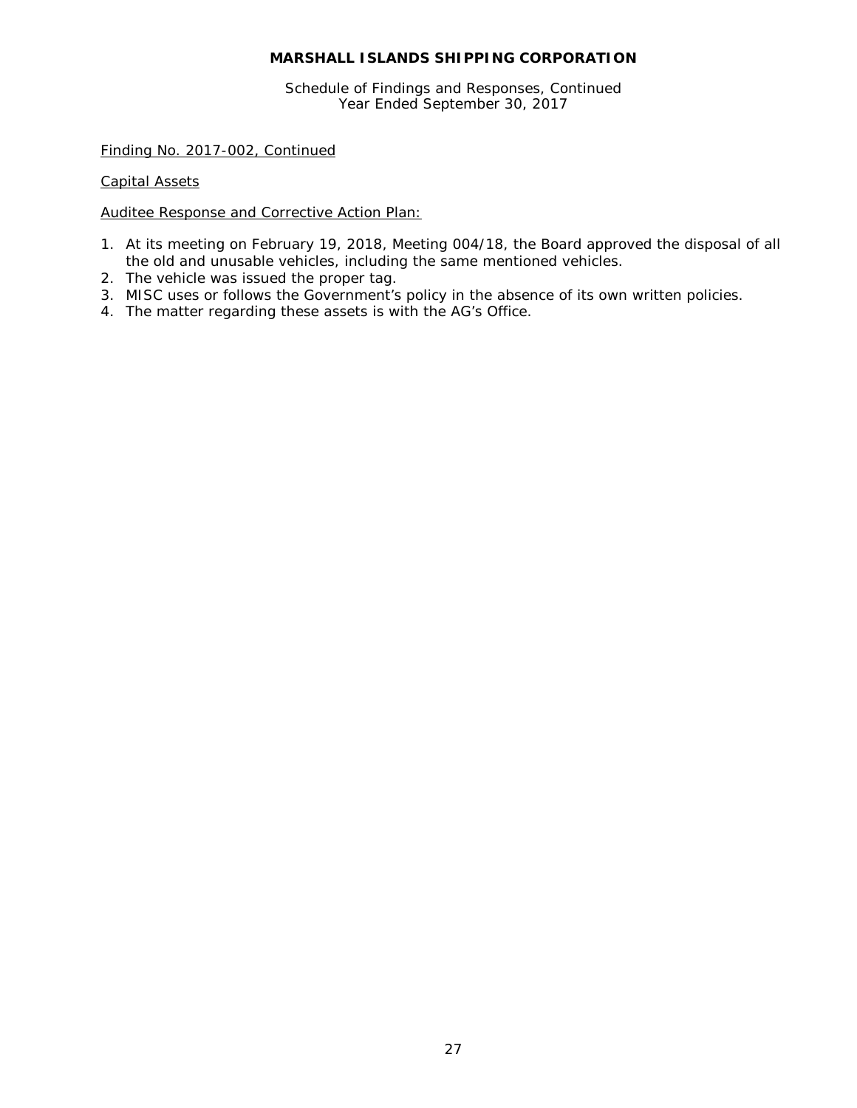Schedule of Findings and Responses, Continued Year Ended September 30, 2017

Finding No. 2017-002, Continued

Capital Assets

Auditee Response and Corrective Action Plan:

- 1. At its meeting on February 19, 2018, Meeting 004/18, the Board approved the disposal of all the old and unusable vehicles, including the same mentioned vehicles.
- 2. The vehicle was issued the proper tag.
- 3. MISC uses or follows the Government's policy in the absence of its own written policies.
- 4. The matter regarding these assets is with the AG's Office.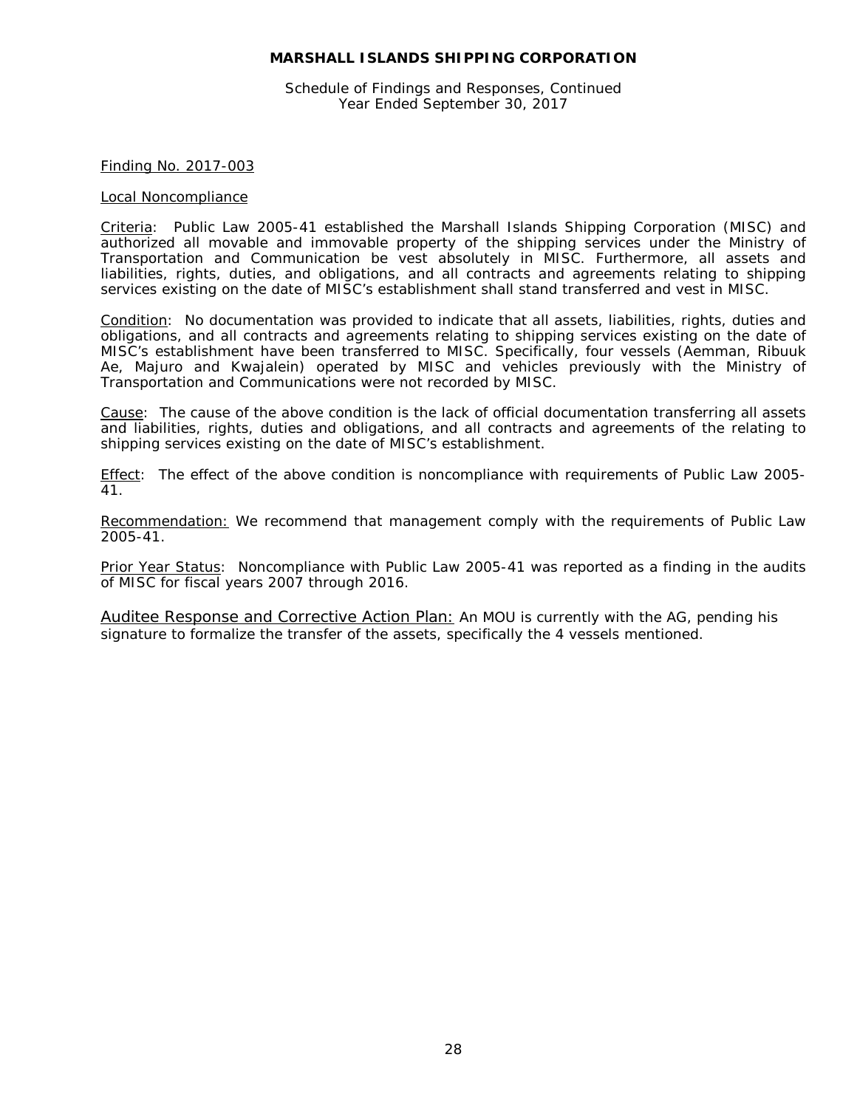Schedule of Findings and Responses, Continued Year Ended September 30, 2017

#### Finding No. 2017-003

#### Local Noncompliance

Criteria: Public Law 2005-41 established the Marshall Islands Shipping Corporation (MISC) and authorized all movable and immovable property of the shipping services under the Ministry of Transportation and Communication be vest absolutely in MISC. Furthermore, all assets and liabilities, rights, duties, and obligations, and all contracts and agreements relating to shipping services existing on the date of MISC's establishment shall stand transferred and vest in MISC.

Condition: No documentation was provided to indicate that all assets, liabilities, rights, duties and obligations, and all contracts and agreements relating to shipping services existing on the date of MISC's establishment have been transferred to MISC. Specifically, four vessels (Aemman, Ribuuk Ae, Majuro and Kwajalein) operated by MISC and vehicles previously with the Ministry of Transportation and Communications were not recorded by MISC.

Cause: The cause of the above condition is the lack of official documentation transferring all assets and liabilities, rights, duties and obligations, and all contracts and agreements of the relating to shipping services existing on the date of MISC's establishment.

Effect: The effect of the above condition is noncompliance with requirements of Public Law 2005- 41.

Recommendation: We recommend that management comply with the requirements of Public Law 2005-41.

Prior Year Status: Noncompliance with Public Law 2005-41 was reported as a finding in the audits of MISC for fiscal years 2007 through 2016.

Auditee Response and Corrective Action Plan: An MOU is currently with the AG, pending his signature to formalize the transfer of the assets, specifically the 4 vessels mentioned.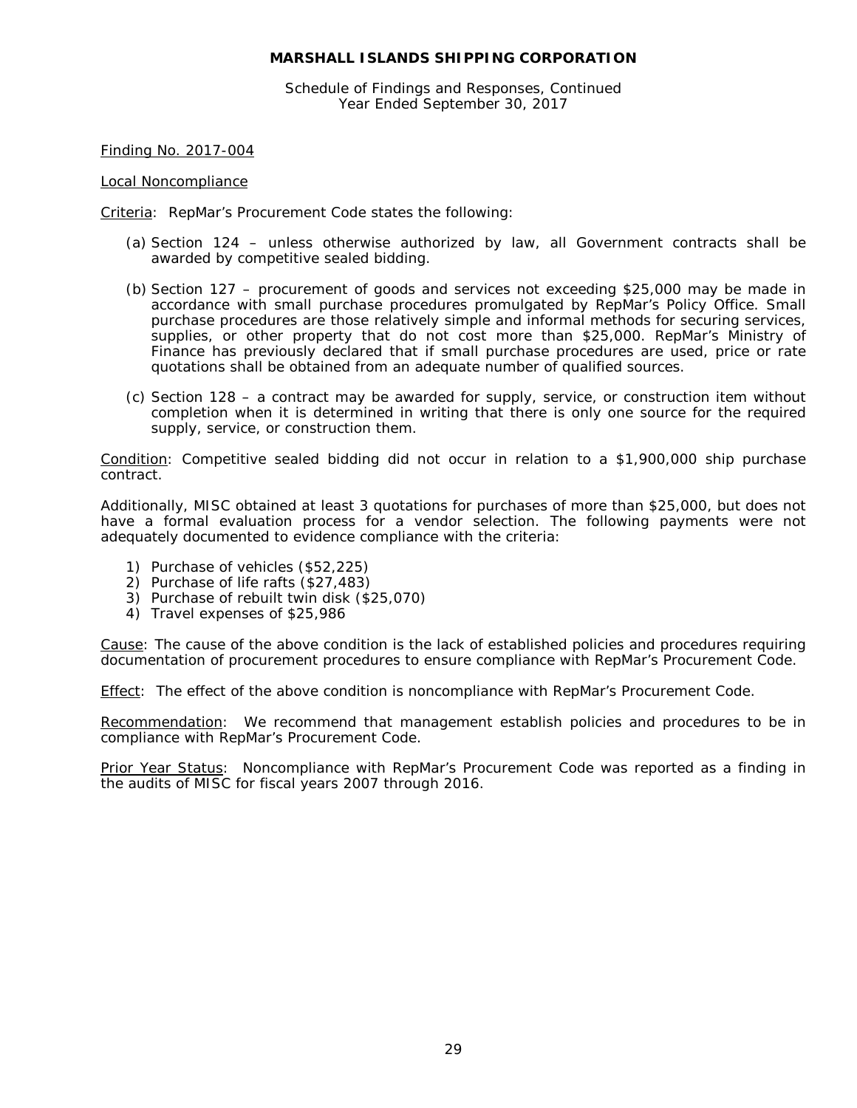Schedule of Findings and Responses, Continued Year Ended September 30, 2017

Finding No. 2017-004

Local Noncompliance

Criteria: RepMar's Procurement Code states the following:

- (a) Section 124 unless otherwise authorized by law, all Government contracts shall be awarded by competitive sealed bidding.
- (b) Section 127 procurement of goods and services not exceeding \$25,000 may be made in accordance with small purchase procedures promulgated by RepMar's Policy Office. Small purchase procedures are those relatively simple and informal methods for securing services, supplies, or other property that do not cost more than \$25,000. RepMar's Ministry of Finance has previously declared that if small purchase procedures are used, price or rate quotations shall be obtained from an adequate number of qualified sources.
- (c) Section 128 a contract may be awarded for supply, service, or construction item without completion when it is determined in writing that there is only one source for the required supply, service, or construction them.

Condition: Competitive sealed bidding did not occur in relation to a \$1,900,000 ship purchase contract.

Additionally, MISC obtained at least 3 quotations for purchases of more than \$25,000, but does not have a formal evaluation process for a vendor selection. The following payments were not adequately documented to evidence compliance with the criteria:

- 1) Purchase of vehicles (\$52,225)
- 2) Purchase of life rafts (\$27,483)
- 3) Purchase of rebuilt twin disk (\$25,070)
- 4) Travel expenses of \$25,986

Cause: The cause of the above condition is the lack of established policies and procedures requiring documentation of procurement procedures to ensure compliance with RepMar's Procurement Code.

Effect: The effect of the above condition is noncompliance with RepMar's Procurement Code.

Recommendation: We recommend that management establish policies and procedures to be in compliance with RepMar's Procurement Code.

Prior Year Status: Noncompliance with RepMar's Procurement Code was reported as a finding in the audits of MISC for fiscal years 2007 through 2016.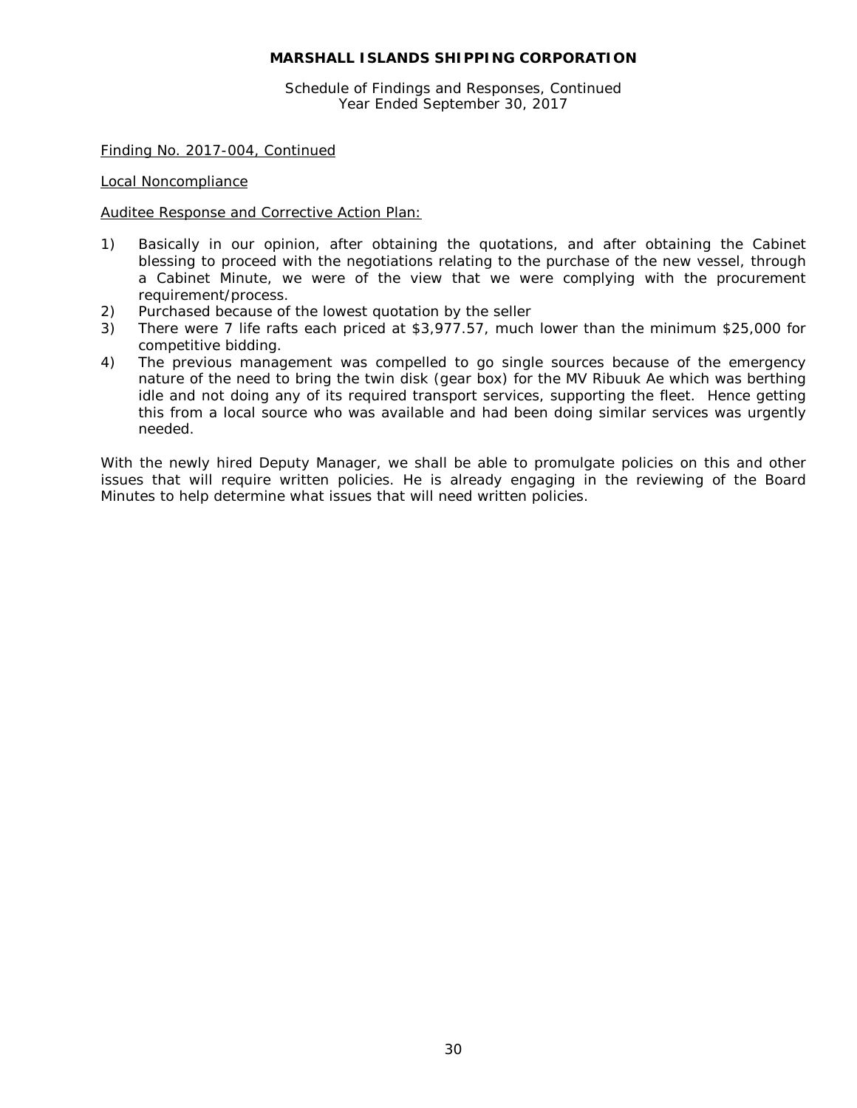Schedule of Findings and Responses, Continued Year Ended September 30, 2017

Finding No. 2017-004, Continued

Local Noncompliance

Auditee Response and Corrective Action Plan:

- 1) Basically in our opinion, after obtaining the quotations, and after obtaining the Cabinet blessing to proceed with the negotiations relating to the purchase of the new vessel, through a Cabinet Minute, we were of the view that we were complying with the procurement requirement/process.
- 2) Purchased because of the lowest quotation by the seller
- 3) There were 7 life rafts each priced at \$3,977.57, much lower than the minimum \$25,000 for competitive bidding.
- 4) The previous management was compelled to go single sources because of the emergency nature of the need to bring the twin disk (gear box) for the MV Ribuuk Ae which was berthing idle and not doing any of its required transport services, supporting the fleet. Hence getting this from a local source who was available and had been doing similar services was urgently needed.

With the newly hired Deputy Manager, we shall be able to promulgate policies on this and other issues that will require written policies. He is already engaging in the reviewing of the Board Minutes to help determine what issues that will need written policies.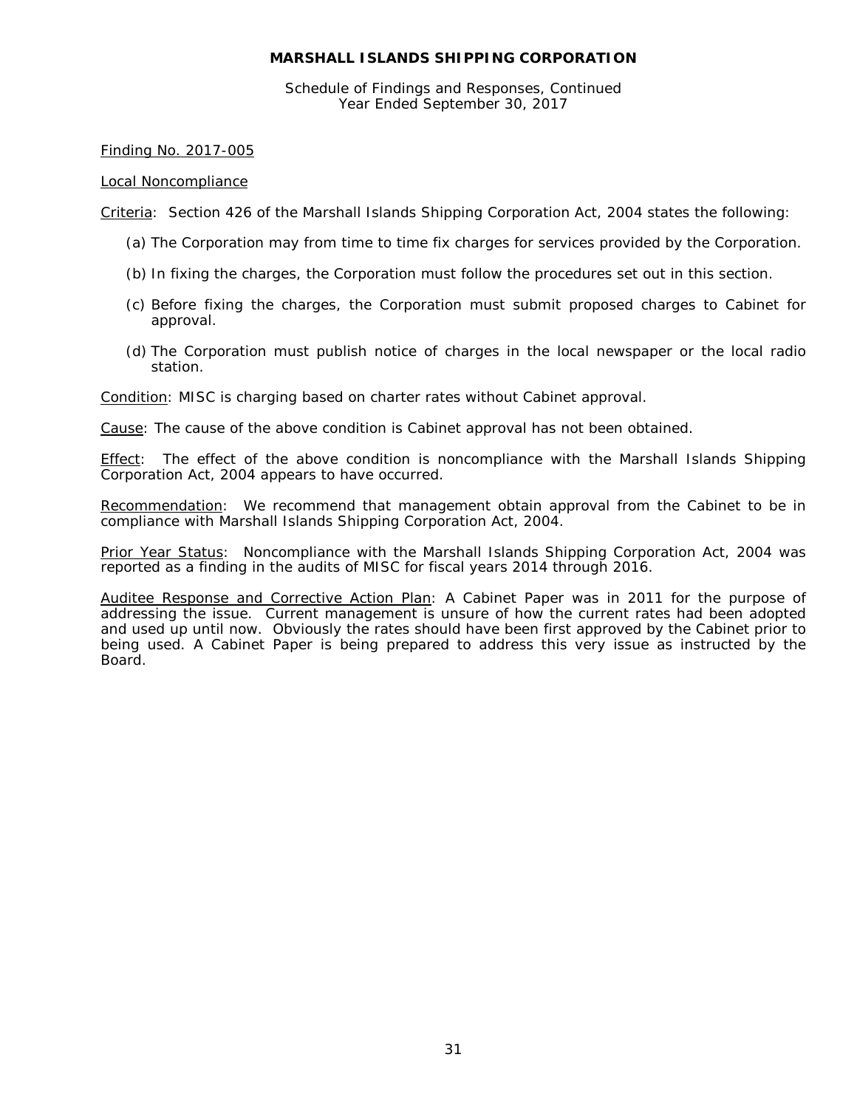Schedule of Findings and Responses, Continued Year Ended September 30, 2017

## Finding No. 2017-005

# Local Noncompliance

Criteria: Section 426 of the Marshall Islands Shipping Corporation Act, 2004 states the following:

- (a) The Corporation may from time to time fix charges for services provided by the Corporation.
- (b) In fixing the charges, the Corporation must follow the procedures set out in this section.
- (c) Before fixing the charges, the Corporation must submit proposed charges to Cabinet for approval.
- (d) The Corporation must publish notice of charges in the local newspaper or the local radio station.

Condition: MISC is charging based on charter rates without Cabinet approval.

Cause: The cause of the above condition is Cabinet approval has not been obtained.

**Effect:** The effect of the above condition is noncompliance with the Marshall Islands Shipping Corporation Act, 2004 appears to have occurred.

Recommendation: We recommend that management obtain approval from the Cabinet to be in compliance with Marshall Islands Shipping Corporation Act, 2004.

Prior Year Status: Noncompliance with the Marshall Islands Shipping Corporation Act, 2004 was reported as a finding in the audits of MISC for fiscal years 2014 through 2016.

Auditee Response and Corrective Action Plan: A Cabinet Paper was in 2011 for the purpose of addressing the issue. Current management is unsure of how the current rates had been adopted and used up until now. Obviously the rates should have been first approved by the Cabinet prior to being used. A Cabinet Paper is being prepared to address this very issue as instructed by the Board.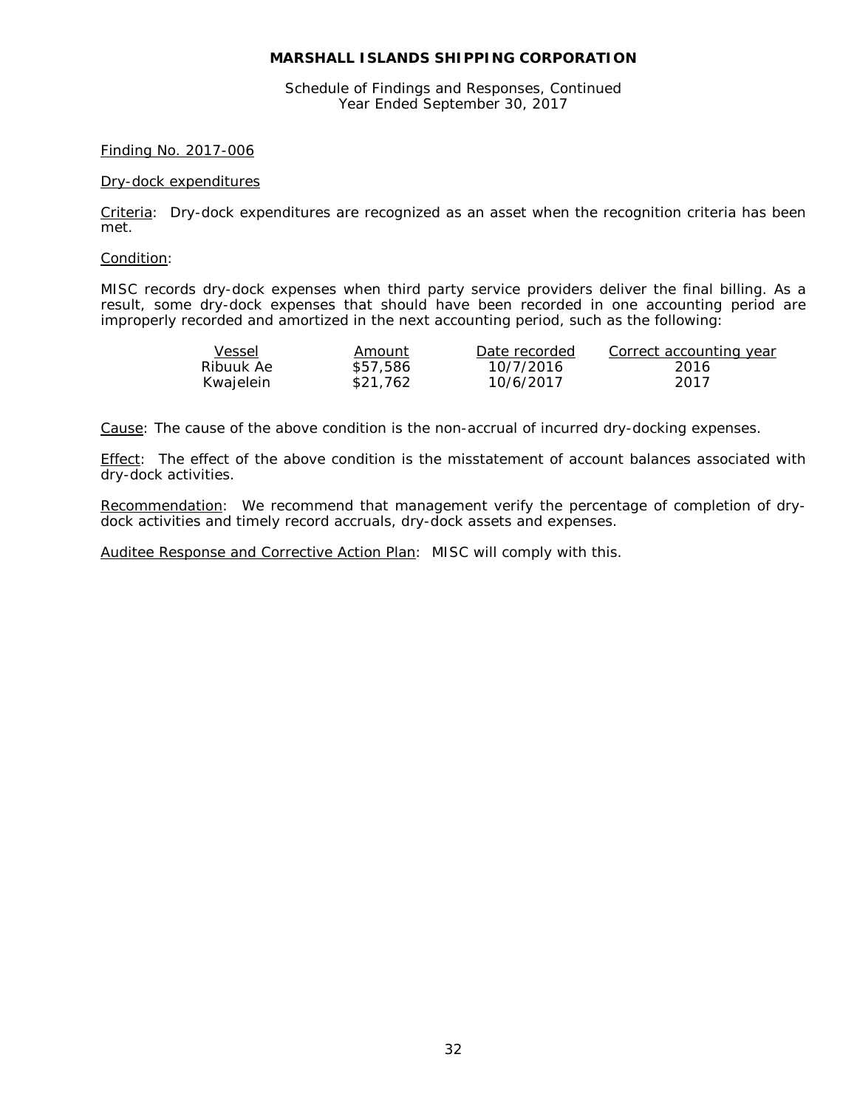Schedule of Findings and Responses, Continued Year Ended September 30, 2017

#### Finding No. 2017-006

#### Dry-dock expenditures

Criteria: Dry-dock expenditures are recognized as an asset when the recognition criteria has been met.

#### Condition:

MISC records dry-dock expenses when third party service providers deliver the final billing. As a result, some dry-dock expenses that should have been recorded in one accounting period are improperly recorded and amortized in the next accounting period, such as the following:

| Vessel    | Amount   | Date recorded | Correct accounting year |
|-----------|----------|---------------|-------------------------|
| Ribuuk Ae | \$57.586 | 10/7/2016     | -2016                   |
| Kwajelein | \$21.762 | 10/6/2017     | 2017                    |

Cause: The cause of the above condition is the non-accrual of incurred dry-docking expenses.

Effect: The effect of the above condition is the misstatement of account balances associated with dry-dock activities.

Recommendation: We recommend that management verify the percentage of completion of drydock activities and timely record accruals, dry-dock assets and expenses.

Auditee Response and Corrective Action Plan: MISC will comply with this.